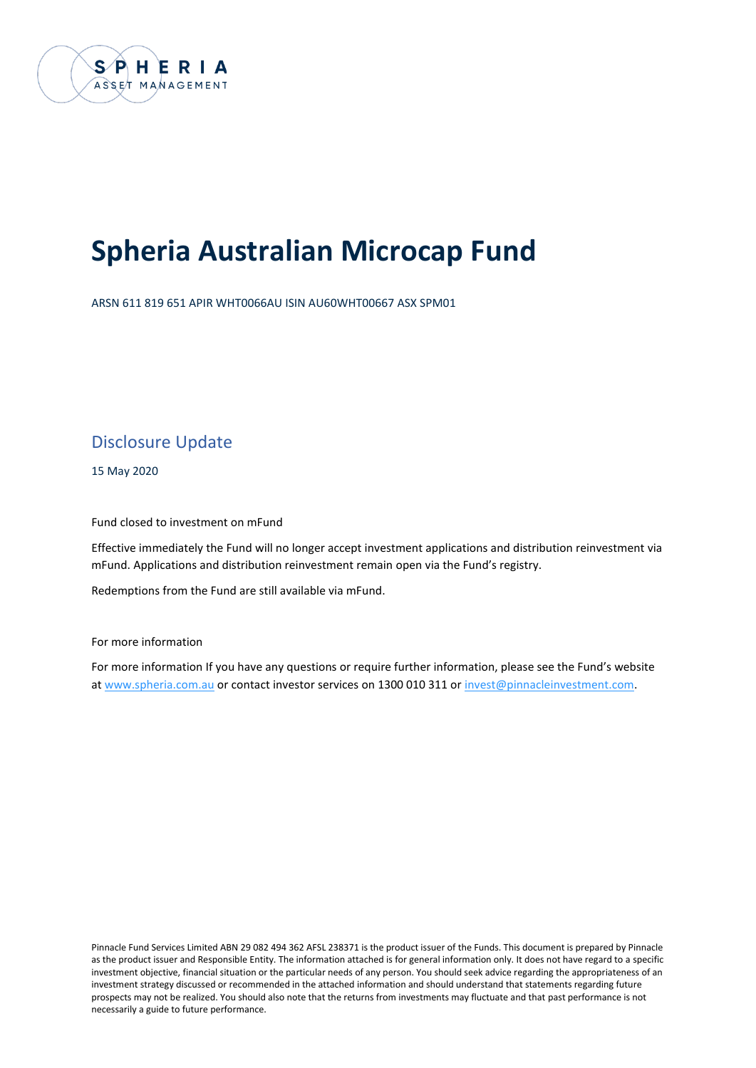

# **Spheria Australian Microcap Fund**

ARSN 611 819 651 APIR WHT0066AU ISIN AU60WHT00667 ASX SPM01

### Disclosure Update

15 May 2020

Fund closed to investment on mFund

Effective immediately the Fund will no longer accept investment applications and distribution reinvestment via mFund. Applications and distribution reinvestment remain open via the Fund's registry.

Redemptions from the Fund are still available via mFund.

For more information

For more information If you have any questions or require further information, please see the Fund's website at www.spheria.com.au or contact investor services on 1300 010 311 or [invest@pinnacleinvestment.com.](mailto:invest@pinnacleinvestment.com)

Pinnacle Fund Services Limited ABN 29 082 494 362 AFSL 238371 is the product issuer of the Funds. This document is prepared by Pinnacle as the product issuer and Responsible Entity. The information attached is for general information only. It does not have regard to a specific investment objective, financial situation or the particular needs of any person. You should seek advice regarding the appropriateness of an investment strategy discussed or recommended in the attached information and should understand that statements regarding future prospects may not be realized. You should also note that the returns from investments may fluctuate and that past performance is not necessarily a guide to future performance.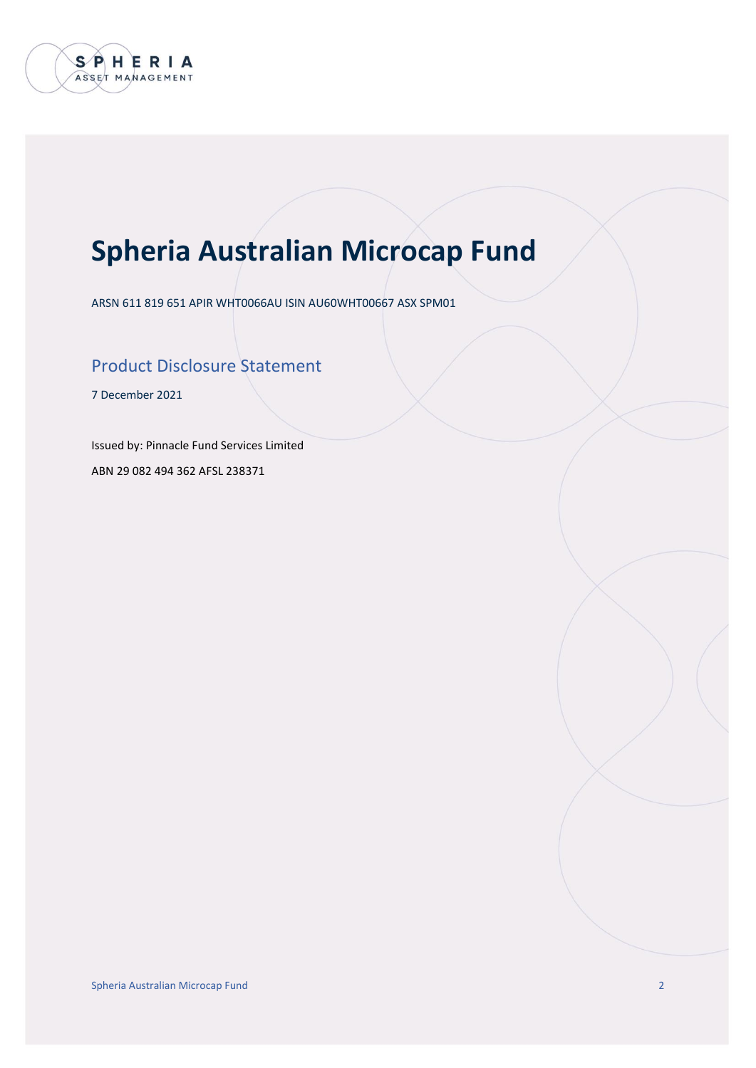

# **Spheria Australian Microcap Fund**

ARSN 611 819 651 APIR WHT0066AU ISIN AU60WHT00667 ASX SPM01

### Product Disclosure Statement

7 December 2021

Issued by: Pinnacle Fund Services Limited

ABN 29 082 494 362 AFSL 238371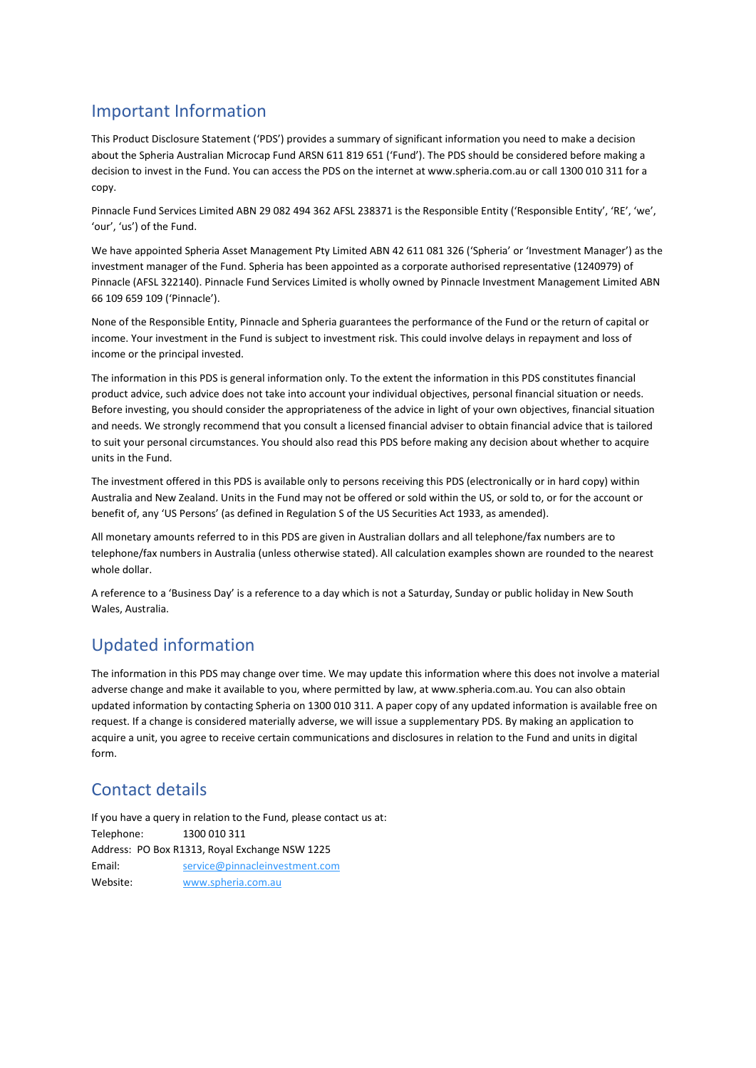### Important Information

This Product Disclosure Statement ('PDS') provides a summary of significant information you need to make a decision about the Spheria Australian Microcap Fund ARSN 611 819 651 ('Fund'). The PDS should be considered before making a decision to invest in the Fund. You can access the PDS on the internet at www.spheria.com.au or call 1300 010 311 for a copy.

Pinnacle Fund Services Limited ABN 29 082 494 362 AFSL 238371 is the Responsible Entity ('Responsible Entity', 'RE', 'we', 'our', 'us') of the Fund.

We have appointed Spheria Asset Management Pty Limited ABN 42 611 081 326 ('Spheria' or 'Investment Manager') as the investment manager of the Fund. Spheria has been appointed as a corporate authorised representative (1240979) of Pinnacle (AFSL 322140). Pinnacle Fund Services Limited is wholly owned by Pinnacle Investment Management Limited ABN 66 109 659 109 ('Pinnacle').

None of the Responsible Entity, Pinnacle and Spheria guarantees the performance of the Fund or the return of capital or income. Your investment in the Fund is subject to investment risk. This could involve delays in repayment and loss of income or the principal invested.

The information in this PDS is general information only. To the extent the information in this PDS constitutes financial product advice, such advice does not take into account your individual objectives, personal financial situation or needs. Before investing, you should consider the appropriateness of the advice in light of your own objectives, financial situation and needs. We strongly recommend that you consult a licensed financial adviser to obtain financial advice that is tailored to suit your personal circumstances. You should also read this PDS before making any decision about whether to acquire units in the Fund.

The investment offered in this PDS is available only to persons receiving this PDS (electronically or in hard copy) within Australia and New Zealand. Units in the Fund may not be offered or sold within the US, or sold to, or for the account or benefit of, any 'US Persons' (as defined in Regulation S of the US Securities Act 1933, as amended).

All monetary amounts referred to in this PDS are given in Australian dollars and all telephone/fax numbers are to telephone/fax numbers in Australia (unless otherwise stated). All calculation examples shown are rounded to the nearest whole dollar.

A reference to a 'Business Day' is a reference to a day which is not a Saturday, Sunday or public holiday in New South Wales, Australia.

### Updated information

The information in this PDS may change over time. We may update this information where this does not involve a material adverse change and make it available to you, where permitted by law, at www.spheria.com.au. You can also obtain updated information by contacting Spheria on 1300 010 311. A paper copy of any updated information is available free on request. If a change is considered materially adverse, we will issue a supplementary PDS. By making an application to acquire a unit, you agree to receive certain communications and disclosures in relation to the Fund and units in digital form.

### Contact details

If you have a query in relation to the Fund, please contact us at: Telephone: 1300 010 311 Address: PO Box R1313, Royal Exchange NSW 1225 Email: [service@pinnacleinvestment.com](mailto:service@pinnacleinvestment.com) Website: [www.spheria.com.au](http://www.spheria.com.au/)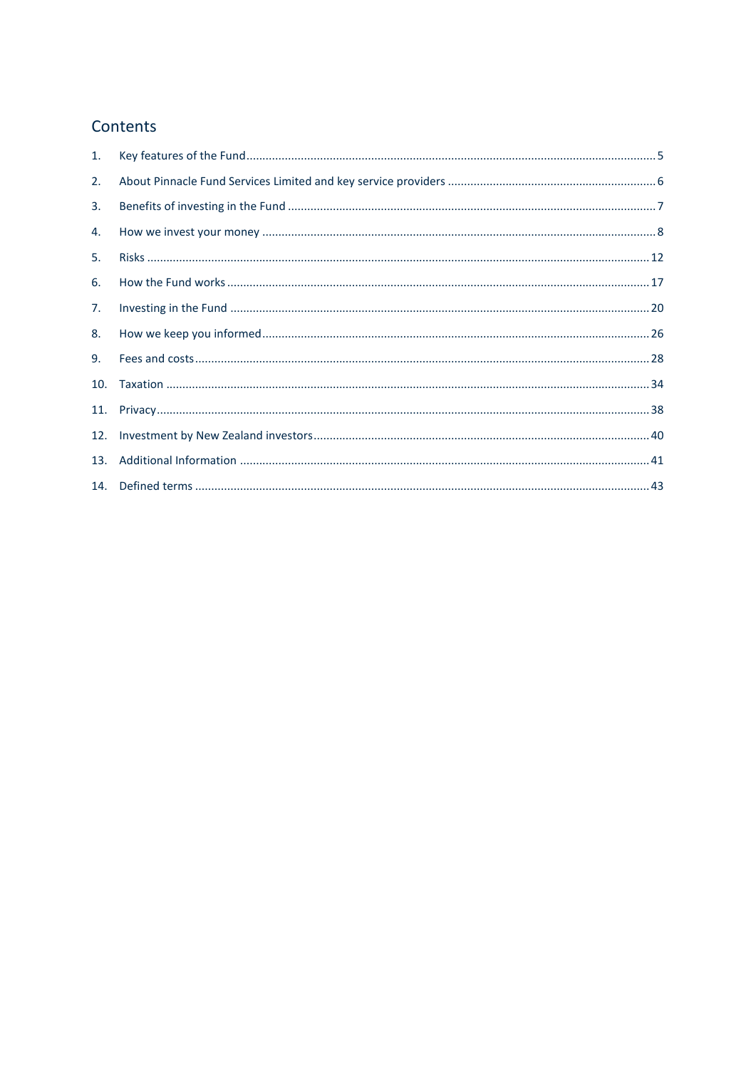### Contents

| 1.  |  |
|-----|--|
| 2.  |  |
| 3.  |  |
| 4.  |  |
| 5.  |  |
| 6.  |  |
| 7.  |  |
| 8.  |  |
| 9.  |  |
| 10. |  |
| 11. |  |
| 12. |  |
| 13. |  |
|     |  |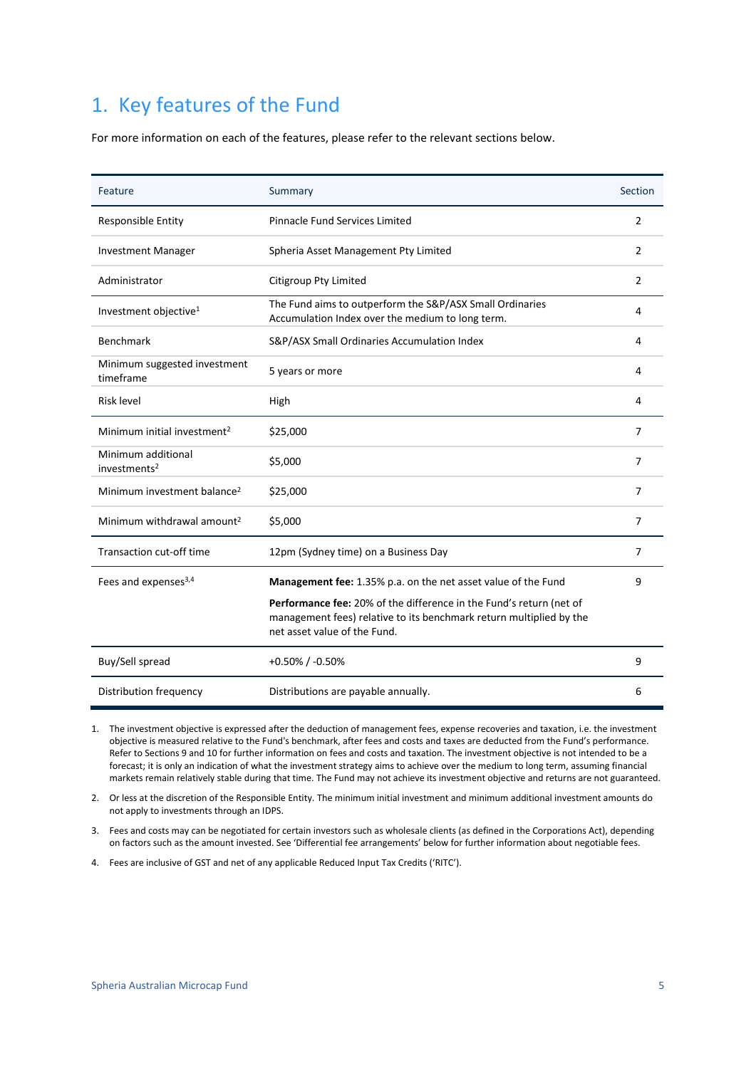## <span id="page-4-0"></span>1. Key features of the Fund

For more information on each of the features, please refer to the relevant sections below.

| Feature                                        | Summary                                                                                                                                                                    | Section        |
|------------------------------------------------|----------------------------------------------------------------------------------------------------------------------------------------------------------------------------|----------------|
| Responsible Entity                             | <b>Pinnacle Fund Services Limited</b>                                                                                                                                      | $\overline{2}$ |
| <b>Investment Manager</b>                      | Spheria Asset Management Pty Limited                                                                                                                                       | 2              |
| Administrator                                  | Citigroup Pty Limited                                                                                                                                                      | 2              |
| Investment objective <sup>1</sup>              | The Fund aims to outperform the S&P/ASX Small Ordinaries<br>Accumulation Index over the medium to long term.                                                               | 4              |
| <b>Benchmark</b>                               | S&P/ASX Small Ordinaries Accumulation Index                                                                                                                                | 4              |
| Minimum suggested investment<br>timeframe      | 5 years or more                                                                                                                                                            | 4              |
| Risk level                                     | High                                                                                                                                                                       | 4              |
| Minimum initial investment <sup>2</sup>        | \$25,000                                                                                                                                                                   | 7              |
| Minimum additional<br>investments <sup>2</sup> | \$5,000                                                                                                                                                                    | 7              |
| Minimum investment balance <sup>2</sup>        | \$25,000                                                                                                                                                                   | 7              |
| Minimum withdrawal amount <sup>2</sup>         | \$5,000                                                                                                                                                                    | 7              |
| Transaction cut-off time                       | 12pm (Sydney time) on a Business Day                                                                                                                                       | 7              |
| Fees and expenses <sup>3,4</sup>               | Management fee: 1.35% p.a. on the net asset value of the Fund                                                                                                              | 9              |
|                                                | Performance fee: 20% of the difference in the Fund's return (net of<br>management fees) relative to its benchmark return multiplied by the<br>net asset value of the Fund. |                |
| Buy/Sell spread                                | $+0.50\%$ / -0.50%                                                                                                                                                         | 9              |
| Distribution frequency                         | Distributions are payable annually.                                                                                                                                        | 6              |

1. The investment objective is expressed after the deduction of management fees, expense recoveries and taxation, i.e. the investment objective is measured relative to the Fund's benchmark, after fees and costs and taxes are deducted from the Fund's performance. Refer to Sections 9 and 10 for further information on fees and costs and taxation. The investment objective is not intended to be a forecast; it is only an indication of what the investment strategy aims to achieve over the medium to long term, assuming financial markets remain relatively stable during that time. The Fund may not achieve its investment objective and returns are not guaranteed.

2. Or less at the discretion of the Responsible Entity. The minimum initial investment and minimum additional investment amounts do not apply to investments through an IDPS.

3. Fees and costs may can be negotiated for certain investors such as wholesale clients (as defined in the Corporations Act), depending on factors such as the amount invested. See 'Differential fee arrangements' below for further information about negotiable fees.

4. Fees are inclusive of GST and net of any applicable Reduced Input Tax Credits ('RITC').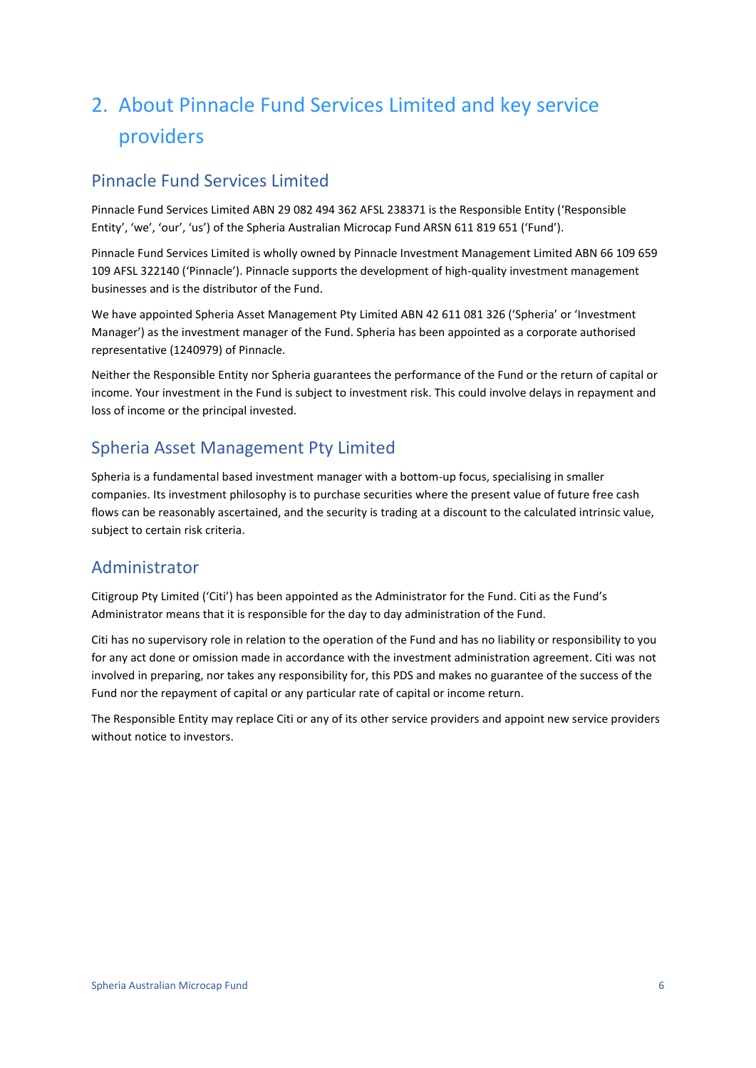## <span id="page-5-0"></span>2. About Pinnacle Fund Services Limited and key service providers

### Pinnacle Fund Services Limited

Pinnacle Fund Services Limited ABN 29 082 494 362 AFSL 238371 is the Responsible Entity ('Responsible Entity', 'we', 'our', 'us') of the Spheria Australian Microcap Fund ARSN 611 819 651 ('Fund').

Pinnacle Fund Services Limited is wholly owned by Pinnacle Investment Management Limited ABN 66 109 659 109 AFSL 322140 ('Pinnacle'). Pinnacle supports the development of high-quality investment management businesses and is the distributor of the Fund.

We have appointed Spheria Asset Management Pty Limited ABN 42 611 081 326 ('Spheria' or 'Investment Manager') as the investment manager of the Fund. Spheria has been appointed as a corporate authorised representative (1240979) of Pinnacle.

Neither the Responsible Entity nor Spheria guarantees the performance of the Fund or the return of capital or income. Your investment in the Fund is subject to investment risk. This could involve delays in repayment and loss of income or the principal invested.

### Spheria Asset Management Pty Limited

Spheria is a fundamental based investment manager with a bottom-up focus, specialising in smaller companies. Its investment philosophy is to purchase securities where the present value of future free cash flows can be reasonably ascertained, and the security is trading at a discount to the calculated intrinsic value, subject to certain risk criteria.

### Administrator

Citigroup Pty Limited ('Citi') has been appointed as the Administrator for the Fund. Citi as the Fund's Administrator means that it is responsible for the day to day administration of the Fund.

Citi has no supervisory role in relation to the operation of the Fund and has no liability or responsibility to you for any act done or omission made in accordance with the investment administration agreement. Citi was not involved in preparing, nor takes any responsibility for, this PDS and makes no guarantee of the success of the Fund nor the repayment of capital or any particular rate of capital or income return.

The Responsible Entity may replace Citi or any of its other service providers and appoint new service providers without notice to investors.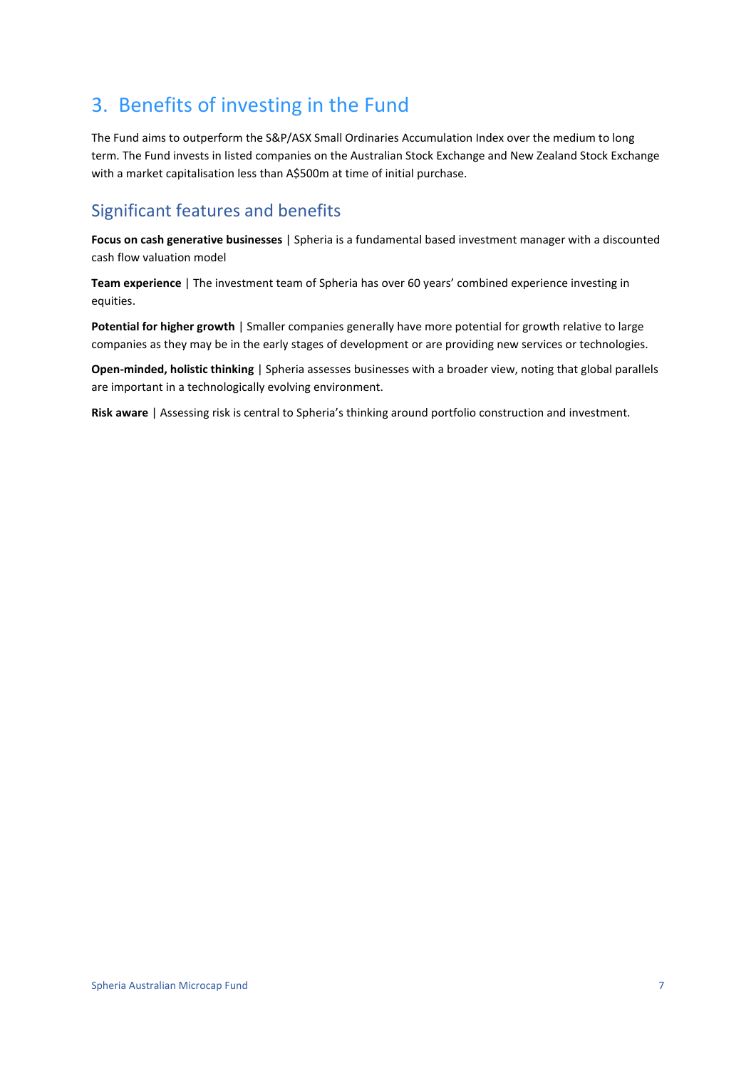## <span id="page-6-0"></span>3. Benefits of investing in the Fund

The Fund aims to outperform the S&P/ASX Small Ordinaries Accumulation Index over the medium to long term. The Fund invests in listed companies on the Australian Stock Exchange and New Zealand Stock Exchange with a market capitalisation less than A\$500m at time of initial purchase.

## Significant features and benefits

**Focus on cash generative businesses** | Spheria is a fundamental based investment manager with a discounted cash flow valuation model

**Team experience** | The investment team of Spheria has over 60 years' combined experience investing in equities.

**Potential for higher growth** | Smaller companies generally have more potential for growth relative to large companies as they may be in the early stages of development or are providing new services or technologies.

**Open-minded, holistic thinking** | Spheria assesses businesses with a broader view, noting that global parallels are important in a technologically evolving environment.

**Risk aware** | Assessing risk is central to Spheria's thinking around portfolio construction and investment.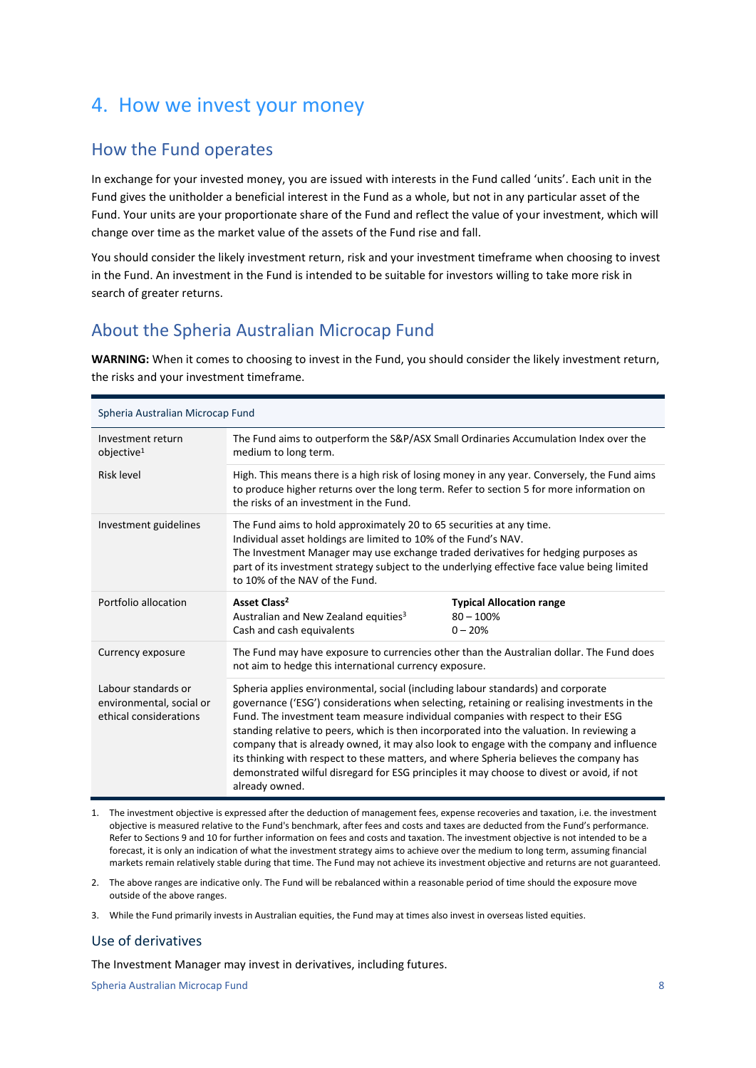## <span id="page-7-0"></span>4. How we invest your money

### How the Fund operates

In exchange for your invested money, you are issued with interests in the Fund called 'units'. Each unit in the Fund gives the unitholder a beneficial interest in the Fund as a whole, but not in any particular asset of the Fund. Your units are your proportionate share of the Fund and reflect the value of your investment, which will change over time as the market value of the assets of the Fund rise and fall.

You should consider the likely investment return, risk and your investment timeframe when choosing to invest in the Fund. An investment in the Fund is intended to be suitable for investors willing to take more risk in search of greater returns.

### About the Spheria Australian Microcap Fund

**WARNING:** When it comes to choosing to invest in the Fund, you should consider the likely investment return, the risks and your investment timeframe.

| Spheria Australian Microcap Fund                                          |                                                                                                                                                                                                                                                                                                                                                                                                                                                                                                                                                                                                                                                                       |                                                              |  |
|---------------------------------------------------------------------------|-----------------------------------------------------------------------------------------------------------------------------------------------------------------------------------------------------------------------------------------------------------------------------------------------------------------------------------------------------------------------------------------------------------------------------------------------------------------------------------------------------------------------------------------------------------------------------------------------------------------------------------------------------------------------|--------------------------------------------------------------|--|
| Investment return<br>objective <sup>1</sup>                               | The Fund aims to outperform the S&P/ASX Small Ordinaries Accumulation Index over the<br>medium to long term.                                                                                                                                                                                                                                                                                                                                                                                                                                                                                                                                                          |                                                              |  |
| <b>Risk level</b>                                                         | High. This means there is a high risk of losing money in any year. Conversely, the Fund aims<br>to produce higher returns over the long term. Refer to section 5 for more information on<br>the risks of an investment in the Fund.                                                                                                                                                                                                                                                                                                                                                                                                                                   |                                                              |  |
| Investment guidelines                                                     | The Fund aims to hold approximately 20 to 65 securities at any time.<br>Individual asset holdings are limited to 10% of the Fund's NAV.<br>The Investment Manager may use exchange traded derivatives for hedging purposes as<br>part of its investment strategy subject to the underlying effective face value being limited<br>to 10% of the NAV of the Fund.                                                                                                                                                                                                                                                                                                       |                                                              |  |
| Portfolio allocation                                                      | Asset Class <sup>2</sup><br>Australian and New Zealand equities <sup>3</sup><br>Cash and cash equivalents                                                                                                                                                                                                                                                                                                                                                                                                                                                                                                                                                             | <b>Typical Allocation range</b><br>$80 - 100\%$<br>$0 - 20%$ |  |
| Currency exposure                                                         | The Fund may have exposure to currencies other than the Australian dollar. The Fund does<br>not aim to hedge this international currency exposure.                                                                                                                                                                                                                                                                                                                                                                                                                                                                                                                    |                                                              |  |
| Labour standards or<br>environmental, social or<br>ethical considerations | Spheria applies environmental, social (including labour standards) and corporate<br>governance ('ESG') considerations when selecting, retaining or realising investments in the<br>Fund. The investment team measure individual companies with respect to their ESG<br>standing relative to peers, which is then incorporated into the valuation. In reviewing a<br>company that is already owned, it may also look to engage with the company and influence<br>its thinking with respect to these matters, and where Spheria believes the company has<br>demonstrated wilful disregard for ESG principles it may choose to divest or avoid, if not<br>already owned. |                                                              |  |

- 1. The investment objective is expressed after the deduction of management fees, expense recoveries and taxation, i.e. the investment objective is measured relative to the Fund's benchmark, after fees and costs and taxes are deducted from the Fund's performance. Refer to Sections 9 and 10 for further information on fees and costs and taxation. The investment objective is not intended to be a forecast, it is only an indication of what the investment strategy aims to achieve over the medium to long term, assuming financial markets remain relatively stable during that time. The Fund may not achieve its investment objective and returns are not guaranteed.
- 2. The above ranges are indicative only. The Fund will be rebalanced within a reasonable period of time should the exposure move outside of the above ranges.
- 3. While the Fund primarily invests in Australian equities, the Fund may at times also invest in overseas listed equities.

#### Use of derivatives

The Investment Manager may invest in derivatives, including futures.

Spheria Australian Microcap Fund 8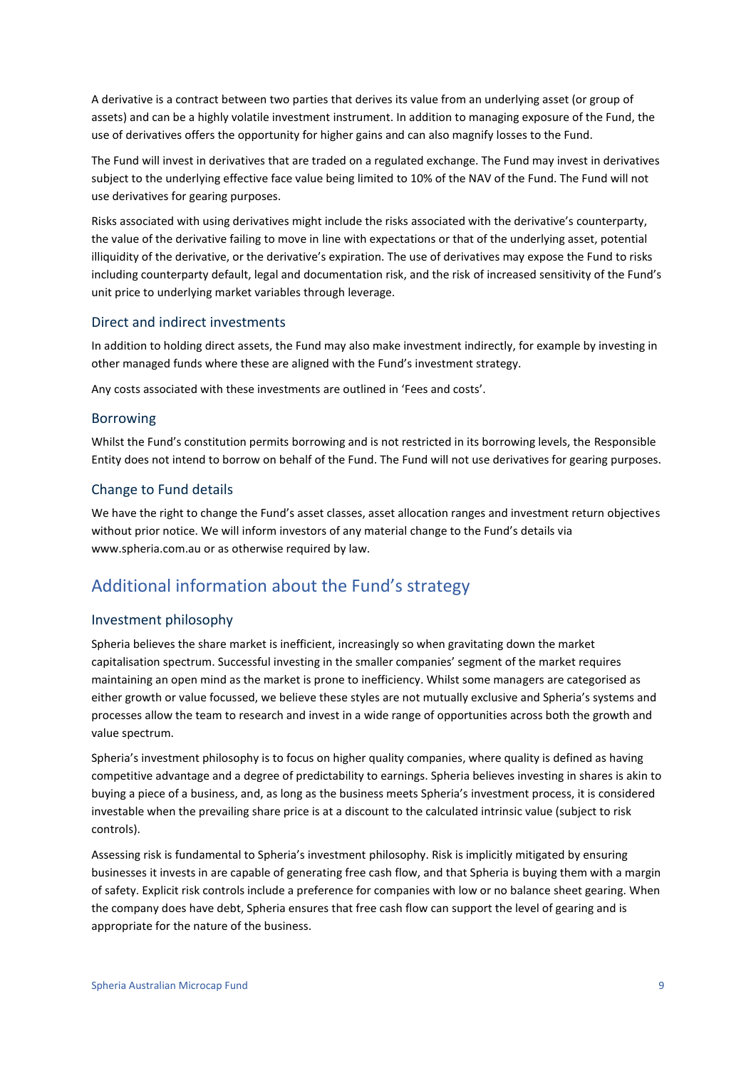A derivative is a contract between two parties that derives its value from an underlying asset (or group of assets) and can be a highly volatile investment instrument. In addition to managing exposure of the Fund, the use of derivatives offers the opportunity for higher gains and can also magnify losses to the Fund.

The Fund will invest in derivatives that are traded on a regulated exchange. The Fund may invest in derivatives subject to the underlying effective face value being limited to 10% of the NAV of the Fund. The Fund will not use derivatives for gearing purposes.

Risks associated with using derivatives might include the risks associated with the derivative's counterparty, the value of the derivative failing to move in line with expectations or that of the underlying asset, potential illiquidity of the derivative, or the derivative's expiration. The use of derivatives may expose the Fund to risks including counterparty default, legal and documentation risk, and the risk of increased sensitivity of the Fund's unit price to underlying market variables through leverage.

#### Direct and indirect investments

In addition to holding direct assets, the Fund may also make investment indirectly, for example by investing in other managed funds where these are aligned with the Fund's investment strategy.

Any costs associated with these investments are outlined in 'Fees and costs'.

#### Borrowing

Whilst the Fund's constitution permits borrowing and is not restricted in its borrowing levels, the Responsible Entity does not intend to borrow on behalf of the Fund. The Fund will not use derivatives for gearing purposes.

#### Change to Fund details

We have the right to change the Fund's asset classes, asset allocation ranges and investment return objectives without prior notice. We will inform investors of any material change to the Fund's details via www.spheria.com.au or as otherwise required by law.

### Additional information about the Fund's strategy

#### Investment philosophy

Spheria believes the share market is inefficient, increasingly so when gravitating down the market capitalisation spectrum. Successful investing in the smaller companies' segment of the market requires maintaining an open mind as the market is prone to inefficiency. Whilst some managers are categorised as either growth or value focussed, we believe these styles are not mutually exclusive and Spheria's systems and processes allow the team to research and invest in a wide range of opportunities across both the growth and value spectrum.

Spheria's investment philosophy is to focus on higher quality companies, where quality is defined as having competitive advantage and a degree of predictability to earnings. Spheria believes investing in shares is akin to buying a piece of a business, and, as long as the business meets Spheria's investment process, it is considered investable when the prevailing share price is at a discount to the calculated intrinsic value (subject to risk controls).

Assessing risk is fundamental to Spheria's investment philosophy. Risk is implicitly mitigated by ensuring businesses it invests in are capable of generating free cash flow, and that Spheria is buying them with a margin of safety. Explicit risk controls include a preference for companies with low or no balance sheet gearing. When the company does have debt, Spheria ensures that free cash flow can support the level of gearing and is appropriate for the nature of the business.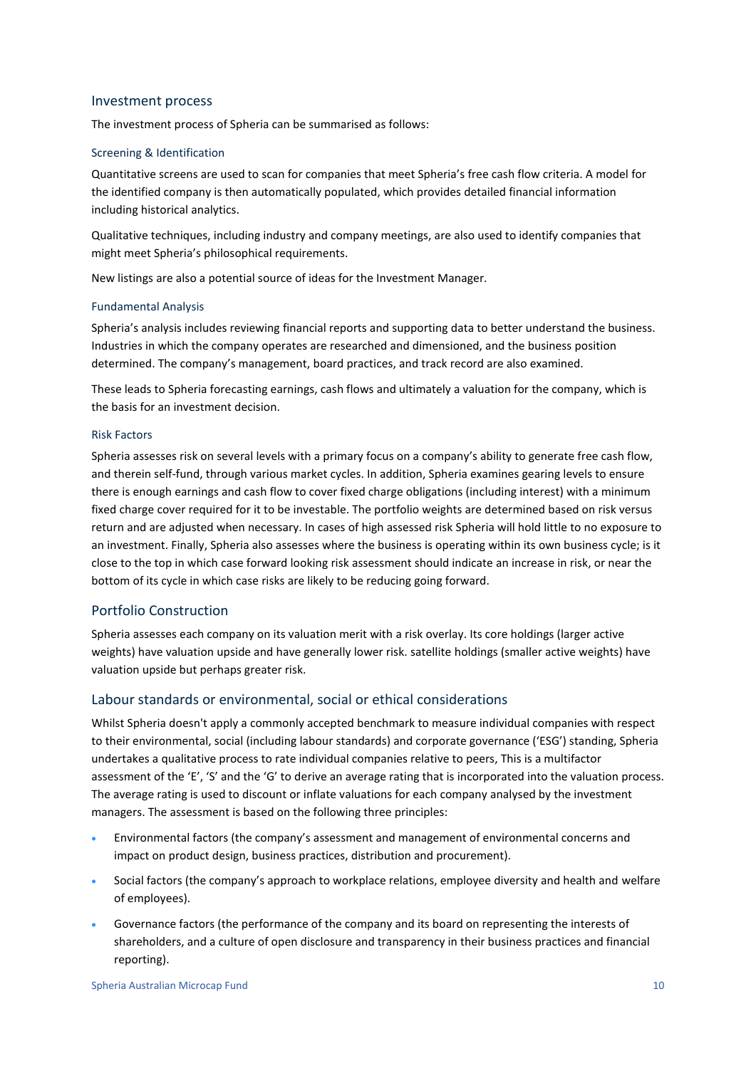#### Investment process

The investment process of Spheria can be summarised as follows:

#### Screening & Identification

Quantitative screens are used to scan for companies that meet Spheria's free cash flow criteria. A model for the identified company is then automatically populated, which provides detailed financial information including historical analytics.

Qualitative techniques, including industry and company meetings, are also used to identify companies that might meet Spheria's philosophical requirements.

New listings are also a potential source of ideas for the Investment Manager.

#### Fundamental Analysis

Spheria's analysis includes reviewing financial reports and supporting data to better understand the business. Industries in which the company operates are researched and dimensioned, and the business position determined. The company's management, board practices, and track record are also examined.

These leads to Spheria forecasting earnings, cash flows and ultimately a valuation for the company, which is the basis for an investment decision.

#### Risk Factors

Spheria assesses risk on several levels with a primary focus on a company's ability to generate free cash flow, and therein self-fund, through various market cycles. In addition, Spheria examines gearing levels to ensure there is enough earnings and cash flow to cover fixed charge obligations (including interest) with a minimum fixed charge cover required for it to be investable. The portfolio weights are determined based on risk versus return and are adjusted when necessary. In cases of high assessed risk Spheria will hold little to no exposure to an investment. Finally, Spheria also assesses where the business is operating within its own business cycle; is it close to the top in which case forward looking risk assessment should indicate an increase in risk, or near the bottom of its cycle in which case risks are likely to be reducing going forward.

#### Portfolio Construction

Spheria assesses each company on its valuation merit with a risk overlay. Its core holdings (larger active weights) have valuation upside and have generally lower risk. satellite holdings (smaller active weights) have valuation upside but perhaps greater risk.

#### Labour standards or environmental, social or ethical considerations

Whilst Spheria doesn't apply a commonly accepted benchmark to measure individual companies with respect to their environmental, social (including labour standards) and corporate governance ('ESG') standing, Spheria undertakes a qualitative process to rate individual companies relative to peers, This is a multifactor assessment of the 'E', 'S' and the 'G' to derive an average rating that is incorporated into the valuation process. The average rating is used to discount or inflate valuations for each company analysed by the investment managers. The assessment is based on the following three principles:

- Environmental factors (the company's assessment and management of environmental concerns and impact on product design, business practices, distribution and procurement).
- Social factors (the company's approach to workplace relations, employee diversity and health and welfare of employees).
- Governance factors (the performance of the company and its board on representing the interests of shareholders, and a culture of open disclosure and transparency in their business practices and financial reporting).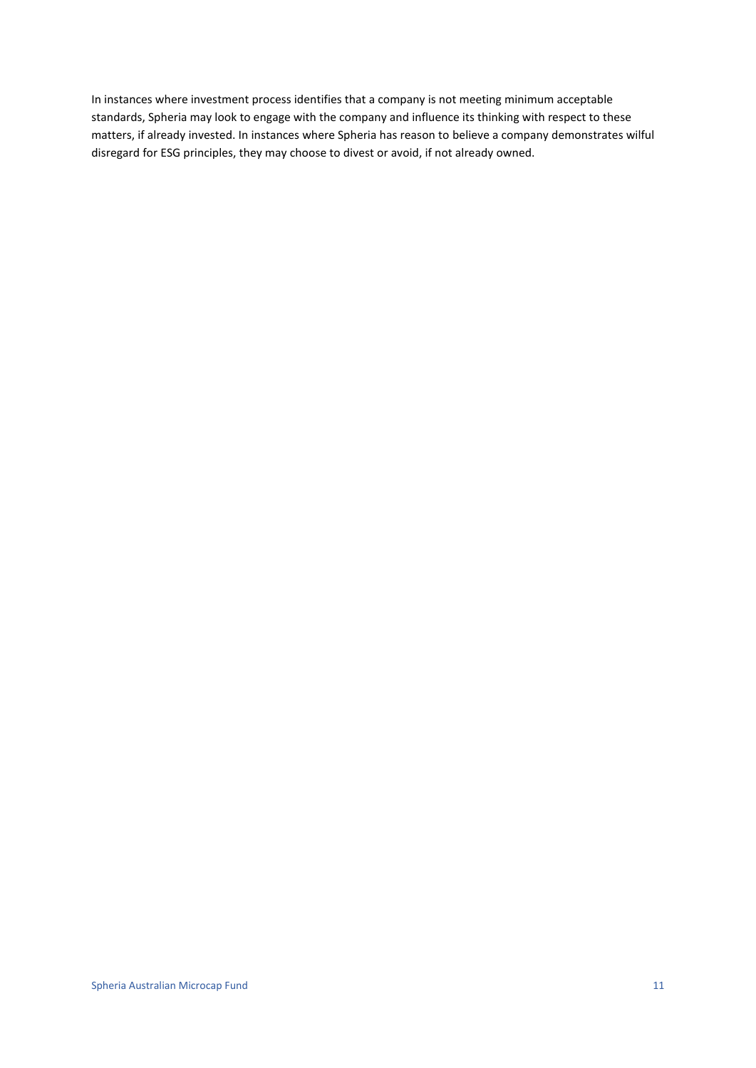In instances where investment process identifies that a company is not meeting minimum acceptable standards, Spheria may look to engage with the company and influence its thinking with respect to these matters, if already invested. In instances where Spheria has reason to believe a company demonstrates wilful disregard for ESG principles, they may choose to divest or avoid, if not already owned.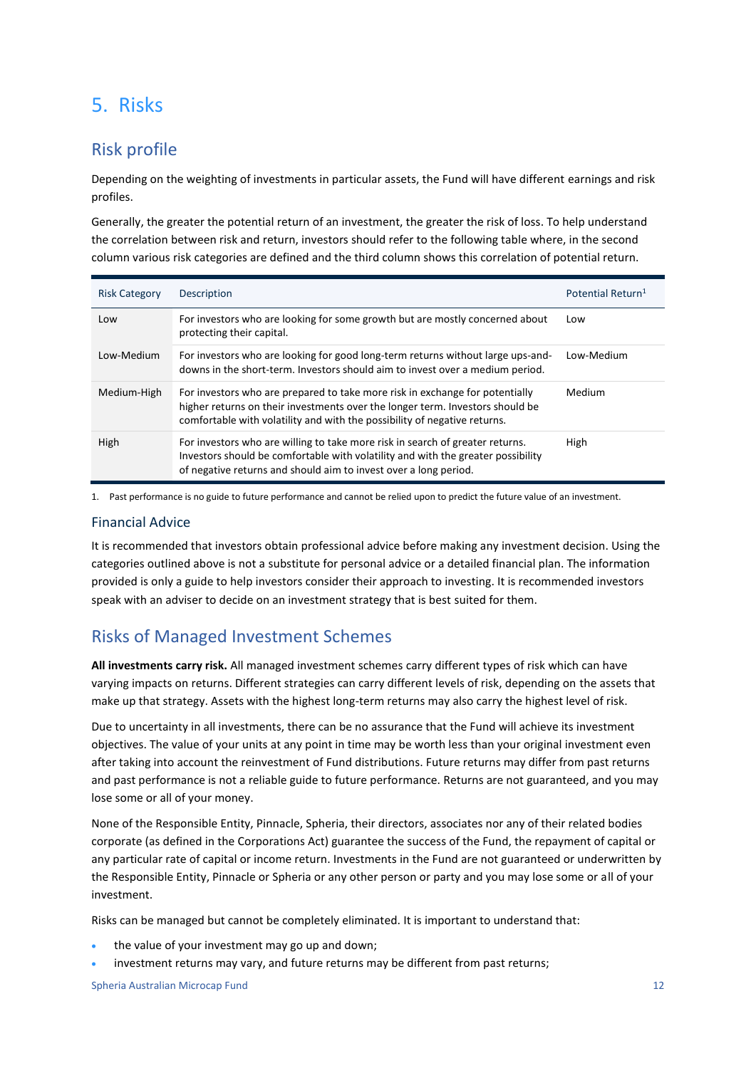## <span id="page-11-0"></span>5. Risks

### Risk profile

Depending on the weighting of investments in particular assets, the Fund will have different earnings and risk profiles.

Generally, the greater the potential return of an investment, the greater the risk of loss. To help understand the correlation between risk and return, investors should refer to the following table where, in the second column various risk categories are defined and the third column shows this correlation of potential return.

| <b>Risk Category</b> | Description                                                                                                                                                                                                                                | Potential Return <sup>1</sup> |
|----------------------|--------------------------------------------------------------------------------------------------------------------------------------------------------------------------------------------------------------------------------------------|-------------------------------|
| Low                  | For investors who are looking for some growth but are mostly concerned about<br>protecting their capital.                                                                                                                                  | Low                           |
| Low-Medium           | For investors who are looking for good long-term returns without large ups-and-<br>downs in the short-term. Investors should aim to invest over a medium period.                                                                           | Low-Medium                    |
| Medium-High          | For investors who are prepared to take more risk in exchange for potentially<br>higher returns on their investments over the longer term. Investors should be<br>comfortable with volatility and with the possibility of negative returns. | Medium                        |
| High                 | For investors who are willing to take more risk in search of greater returns.<br>Investors should be comfortable with volatility and with the greater possibility<br>of negative returns and should aim to invest over a long period.      | High                          |

1. Past performance is no guide to future performance and cannot be relied upon to predict the future value of an investment.

#### Financial Advice

It is recommended that investors obtain professional advice before making any investment decision. Using the categories outlined above is not a substitute for personal advice or a detailed financial plan. The information provided is only a guide to help investors consider their approach to investing. It is recommended investors speak with an adviser to decide on an investment strategy that is best suited for them.

### Risks of Managed Investment Schemes

**All investments carry risk.** All managed investment schemes carry different types of risk which can have varying impacts on returns. Different strategies can carry different levels of risk, depending on the assets that make up that strategy. Assets with the highest long-term returns may also carry the highest level of risk.

Due to uncertainty in all investments, there can be no assurance that the Fund will achieve its investment objectives. The value of your units at any point in time may be worth less than your original investment even after taking into account the reinvestment of Fund distributions. Future returns may differ from past returns and past performance is not a reliable guide to future performance. Returns are not guaranteed, and you may lose some or all of your money.

None of the Responsible Entity, Pinnacle, Spheria, their directors, associates nor any of their related bodies corporate (as defined in the Corporations Act) guarantee the success of the Fund, the repayment of capital or any particular rate of capital or income return. Investments in the Fund are not guaranteed or underwritten by the Responsible Entity, Pinnacle or Spheria or any other person or party and you may lose some or all of your investment.

Risks can be managed but cannot be completely eliminated. It is important to understand that:

- the value of your investment may go up and down;
- investment returns may vary, and future returns may be different from past returns;

Spheria Australian Microcap Fund 12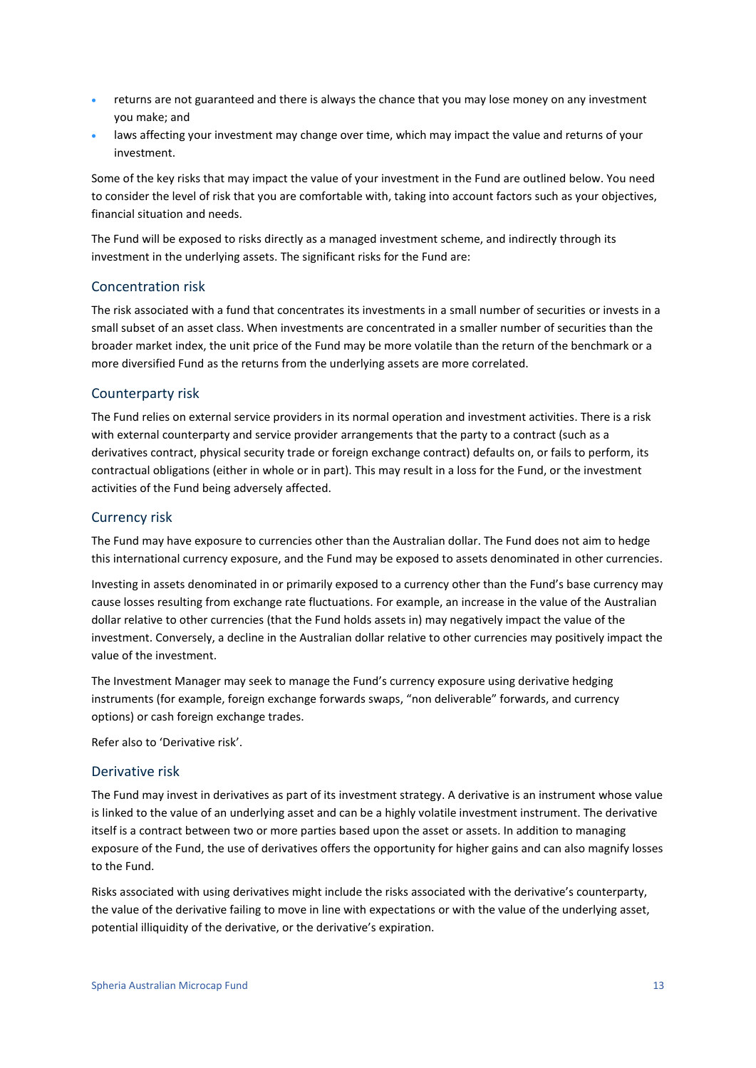- returns are not guaranteed and there is always the chance that you may lose money on any investment you make; and
- laws affecting your investment may change over time, which may impact the value and returns of your investment.

Some of the key risks that may impact the value of your investment in the Fund are outlined below. You need to consider the level of risk that you are comfortable with, taking into account factors such as your objectives, financial situation and needs.

The Fund will be exposed to risks directly as a managed investment scheme, and indirectly through its investment in the underlying assets. The significant risks for the Fund are:

#### Concentration risk

The risk associated with a fund that concentrates its investments in a small number of securities or invests in a small subset of an asset class. When investments are concentrated in a smaller number of securities than the broader market index, the unit price of the Fund may be more volatile than the return of the benchmark or a more diversified Fund as the returns from the underlying assets are more correlated.

#### Counterparty risk

The Fund relies on external service providers in its normal operation and investment activities. There is a risk with external counterparty and service provider arrangements that the party to a contract (such as a derivatives contract, physical security trade or foreign exchange contract) defaults on, or fails to perform, its contractual obligations (either in whole or in part). This may result in a loss for the Fund, or the investment activities of the Fund being adversely affected.

#### Currency risk

The Fund may have exposure to currencies other than the Australian dollar. The Fund does not aim to hedge this international currency exposure, and the Fund may be exposed to assets denominated in other currencies.

Investing in assets denominated in or primarily exposed to a currency other than the Fund's base currency may cause losses resulting from exchange rate fluctuations. For example, an increase in the value of the Australian dollar relative to other currencies (that the Fund holds assets in) may negatively impact the value of the investment. Conversely, a decline in the Australian dollar relative to other currencies may positively impact the value of the investment.

The Investment Manager may seek to manage the Fund's currency exposure using derivative hedging instruments (for example, foreign exchange forwards swaps, "non deliverable" forwards, and currency options) or cash foreign exchange trades.

Refer also to 'Derivative risk'.

#### Derivative risk

The Fund may invest in derivatives as part of its investment strategy. A derivative is an instrument whose value is linked to the value of an underlying asset and can be a highly volatile investment instrument. The derivative itself is a contract between two or more parties based upon the asset or assets. In addition to managing exposure of the Fund, the use of derivatives offers the opportunity for higher gains and can also magnify losses to the Fund.

Risks associated with using derivatives might include the risks associated with the derivative's counterparty, the value of the derivative failing to move in line with expectations or with the value of the underlying asset, potential illiquidity of the derivative, or the derivative's expiration.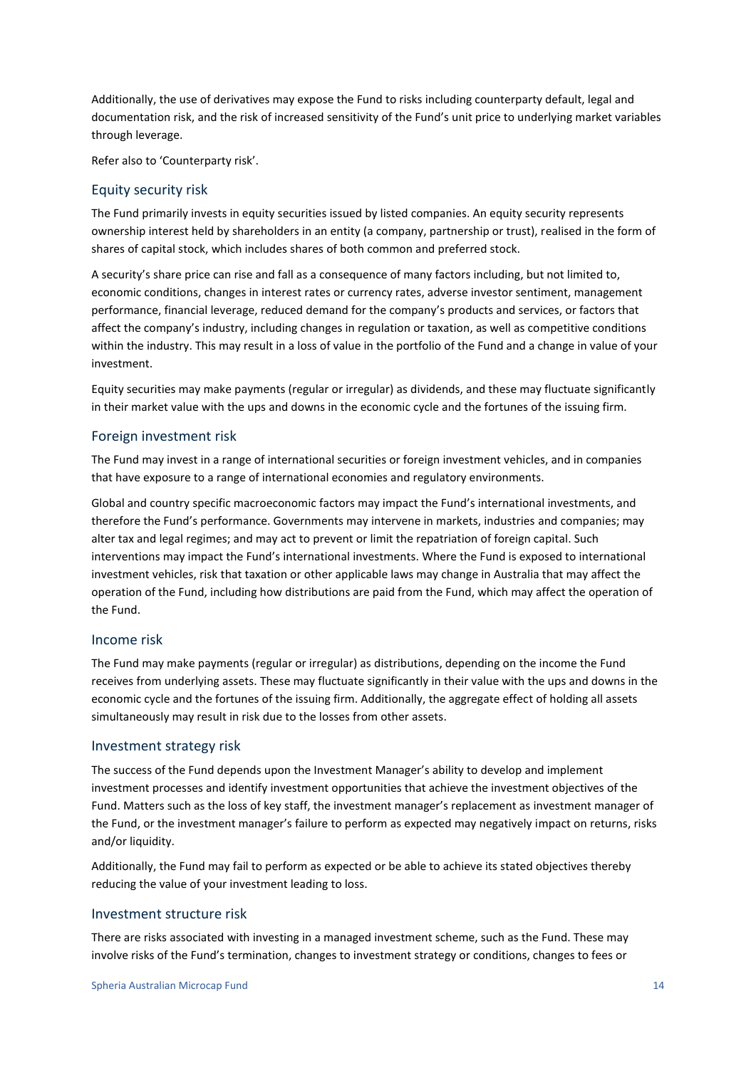Additionally, the use of derivatives may expose the Fund to risks including counterparty default, legal and documentation risk, and the risk of increased sensitivity of the Fund's unit price to underlying market variables through leverage.

Refer also to 'Counterparty risk'.

#### Equity security risk

The Fund primarily invests in equity securities issued by listed companies. An equity security represents ownership interest held by shareholders in an entity (a company, partnership or trust), realised in the form of shares of capital stock, which includes shares of both common and preferred stock.

A security's share price can rise and fall as a consequence of many factors including, but not limited to, economic conditions, changes in interest rates or currency rates, adverse investor sentiment, management performance, financial leverage, reduced demand for the company's products and services, or factors that affect the company's industry, including changes in regulation or taxation, as well as competitive conditions within the industry. This may result in a loss of value in the portfolio of the Fund and a change in value of your investment.

Equity securities may make payments (regular or irregular) as dividends, and these may fluctuate significantly in their market value with the ups and downs in the economic cycle and the fortunes of the issuing firm.

#### Foreign investment risk

The Fund may invest in a range of international securities or foreign investment vehicles, and in companies that have exposure to a range of international economies and regulatory environments.

Global and country specific macroeconomic factors may impact the Fund's international investments, and therefore the Fund's performance. Governments may intervene in markets, industries and companies; may alter tax and legal regimes; and may act to prevent or limit the repatriation of foreign capital. Such interventions may impact the Fund's international investments. Where the Fund is exposed to international investment vehicles, risk that taxation or other applicable laws may change in Australia that may affect the operation of the Fund, including how distributions are paid from the Fund, which may affect the operation of the Fund.

#### Income risk

The Fund may make payments (regular or irregular) as distributions, depending on the income the Fund receives from underlying assets. These may fluctuate significantly in their value with the ups and downs in the economic cycle and the fortunes of the issuing firm. Additionally, the aggregate effect of holding all assets simultaneously may result in risk due to the losses from other assets.

#### Investment strategy risk

The success of the Fund depends upon the Investment Manager's ability to develop and implement investment processes and identify investment opportunities that achieve the investment objectives of the Fund. Matters such as the loss of key staff, the investment manager's replacement as investment manager of the Fund, or the investment manager's failure to perform as expected may negatively impact on returns, risks and/or liquidity.

Additionally, the Fund may fail to perform as expected or be able to achieve its stated objectives thereby reducing the value of your investment leading to loss.

#### Investment structure risk

There are risks associated with investing in a managed investment scheme, such as the Fund. These may involve risks of the Fund's termination, changes to investment strategy or conditions, changes to fees or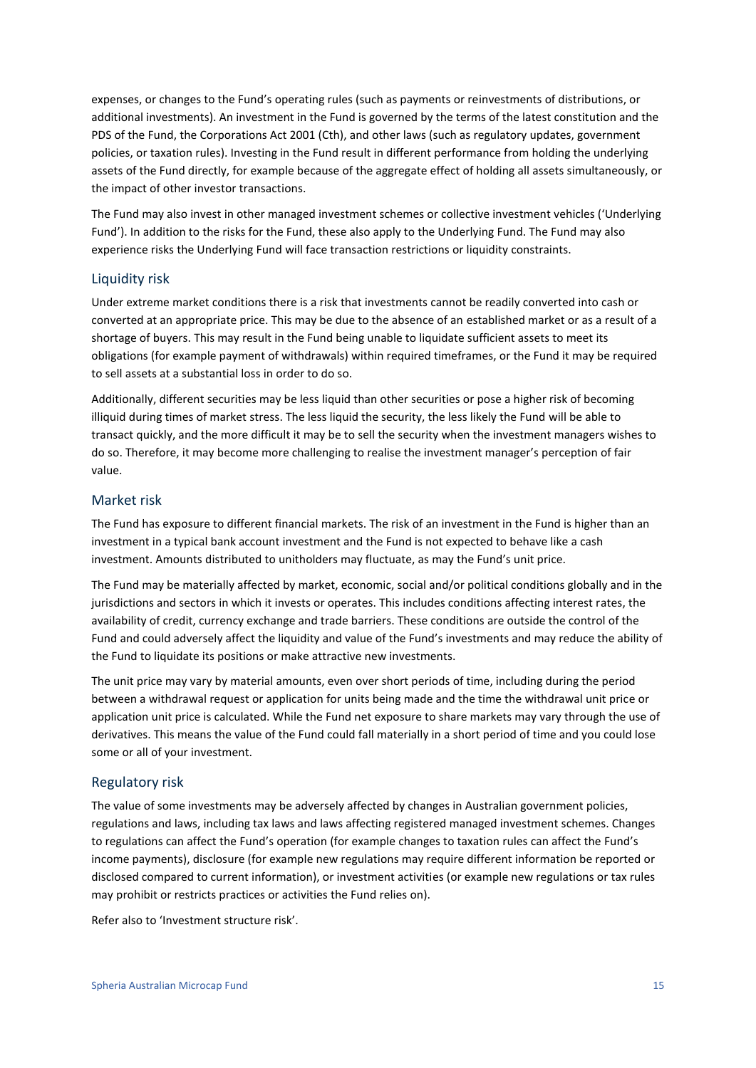expenses, or changes to the Fund's operating rules (such as payments or reinvestments of distributions, or additional investments). An investment in the Fund is governed by the terms of the latest constitution and the PDS of the Fund, the Corporations Act 2001 (Cth), and other laws (such as regulatory updates, government policies, or taxation rules). Investing in the Fund result in different performance from holding the underlying assets of the Fund directly, for example because of the aggregate effect of holding all assets simultaneously, or the impact of other investor transactions.

The Fund may also invest in other managed investment schemes or collective investment vehicles ('Underlying Fund'). In addition to the risks for the Fund, these also apply to the Underlying Fund. The Fund may also experience risks the Underlying Fund will face transaction restrictions or liquidity constraints.

#### Liquidity risk

Under extreme market conditions there is a risk that investments cannot be readily converted into cash or converted at an appropriate price. This may be due to the absence of an established market or as a result of a shortage of buyers. This may result in the Fund being unable to liquidate sufficient assets to meet its obligations (for example payment of withdrawals) within required timeframes, or the Fund it may be required to sell assets at a substantial loss in order to do so.

Additionally, different securities may be less liquid than other securities or pose a higher risk of becoming illiquid during times of market stress. The less liquid the security, the less likely the Fund will be able to transact quickly, and the more difficult it may be to sell the security when the investment managers wishes to do so. Therefore, it may become more challenging to realise the investment manager's perception of fair value.

#### Market risk

The Fund has exposure to different financial markets. The risk of an investment in the Fund is higher than an investment in a typical bank account investment and the Fund is not expected to behave like a cash investment. Amounts distributed to unitholders may fluctuate, as may the Fund's unit price.

The Fund may be materially affected by market, economic, social and/or political conditions globally and in the jurisdictions and sectors in which it invests or operates. This includes conditions affecting interest rates, the availability of credit, currency exchange and trade barriers. These conditions are outside the control of the Fund and could adversely affect the liquidity and value of the Fund's investments and may reduce the ability of the Fund to liquidate its positions or make attractive new investments.

The unit price may vary by material amounts, even over short periods of time, including during the period between a withdrawal request or application for units being made and the time the withdrawal unit price or application unit price is calculated. While the Fund net exposure to share markets may vary through the use of derivatives. This means the value of the Fund could fall materially in a short period of time and you could lose some or all of your investment.

#### Regulatory risk

The value of some investments may be adversely affected by changes in Australian government policies, regulations and laws, including tax laws and laws affecting registered managed investment schemes. Changes to regulations can affect the Fund's operation (for example changes to taxation rules can affect the Fund's income payments), disclosure (for example new regulations may require different information be reported or disclosed compared to current information), or investment activities (or example new regulations or tax rules may prohibit or restricts practices or activities the Fund relies on).

Refer also to 'Investment structure risk'.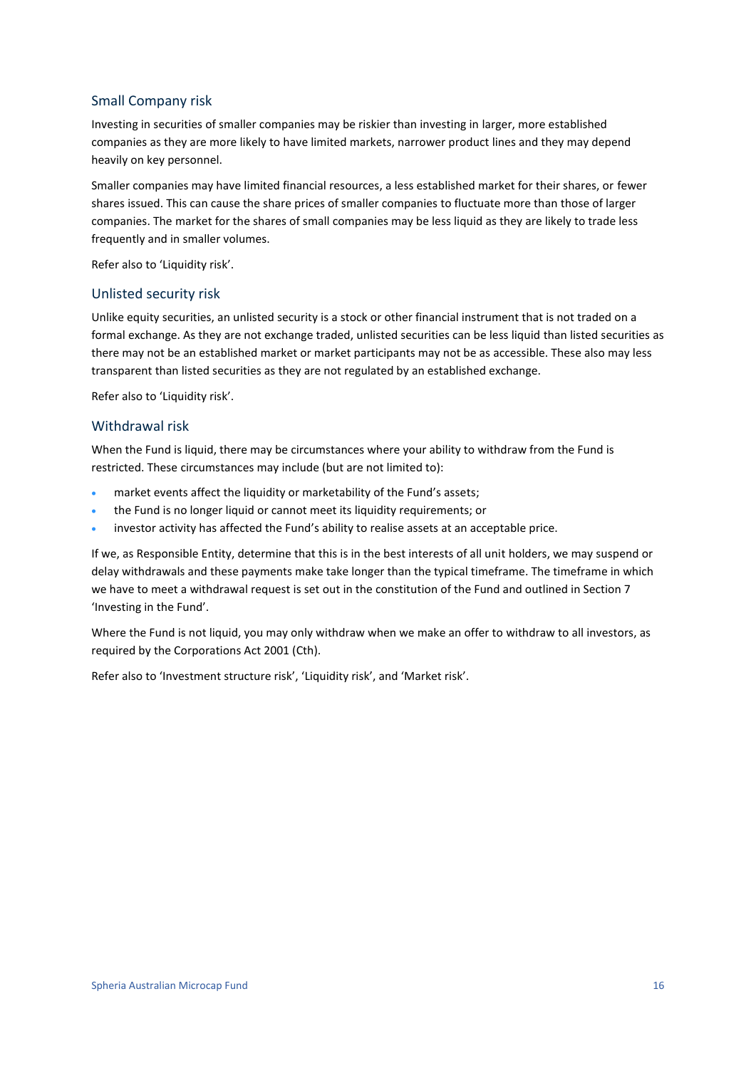#### Small Company risk

Investing in securities of smaller companies may be riskier than investing in larger, more established companies as they are more likely to have limited markets, narrower product lines and they may depend heavily on key personnel.

Smaller companies may have limited financial resources, a less established market for their shares, or fewer shares issued. This can cause the share prices of smaller companies to fluctuate more than those of larger companies. The market for the shares of small companies may be less liquid as they are likely to trade less frequently and in smaller volumes.

Refer also to 'Liquidity risk'.

#### Unlisted security risk

Unlike equity securities, an unlisted security is a stock or other financial instrument that is not traded on a formal exchange. As they are not exchange traded, unlisted securities can be less liquid than listed securities as there may not be an established market or market participants may not be as accessible. These also may less transparent than listed securities as they are not regulated by an established exchange.

Refer also to 'Liquidity risk'.

#### Withdrawal risk

When the Fund is liquid, there may be circumstances where your ability to withdraw from the Fund is restricted. These circumstances may include (but are not limited to):

- market events affect the liquidity or marketability of the Fund's assets;
- the Fund is no longer liquid or cannot meet its liquidity requirements; or
- investor activity has affected the Fund's ability to realise assets at an acceptable price.

If we, as Responsible Entity, determine that this is in the best interests of all unit holders, we may suspend or delay withdrawals and these payments make take longer than the typical timeframe. The timeframe in which we have to meet a withdrawal request is set out in the constitution of the Fund and outlined in Section 7 'Investing in the Fund'.

Where the Fund is not liquid, you may only withdraw when we make an offer to withdraw to all investors, as required by the Corporations Act 2001 (Cth).

Refer also to 'Investment structure risk', 'Liquidity risk', and 'Market risk'.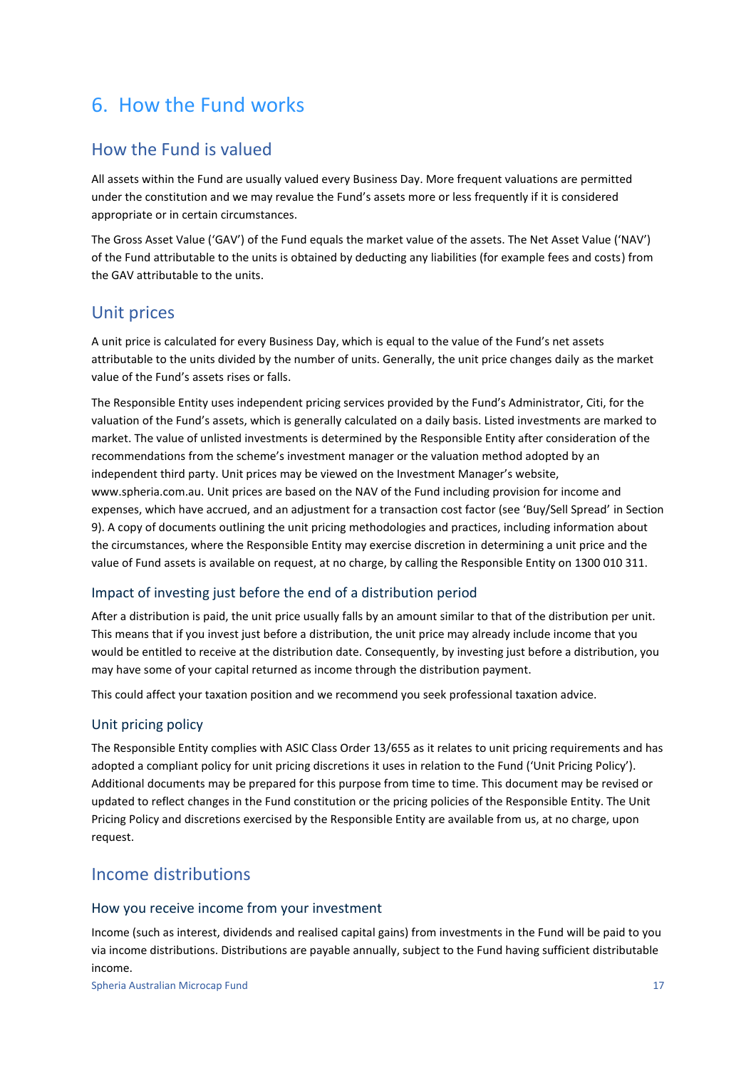## <span id="page-16-0"></span>6. How the Fund works

### How the Fund is valued

All assets within the Fund are usually valued every Business Day. More frequent valuations are permitted under the constitution and we may revalue the Fund's assets more or less frequently if it is considered appropriate or in certain circumstances.

The Gross Asset Value ('GAV') of the Fund equals the market value of the assets. The Net Asset Value ('NAV') of the Fund attributable to the units is obtained by deducting any liabilities (for example fees and costs) from the GAV attributable to the units.

### Unit prices

A unit price is calculated for every Business Day, which is equal to the value of the Fund's net assets attributable to the units divided by the number of units. Generally, the unit price changes daily as the market value of the Fund's assets rises or falls.

The Responsible Entity uses independent pricing services provided by the Fund's Administrator, Citi, for the valuation of the Fund's assets, which is generally calculated on a daily basis. Listed investments are marked to market. The value of unlisted investments is determined by the Responsible Entity after consideration of the recommendations from the scheme's investment manager or the valuation method adopted by an independent third party. Unit prices may be viewed on the Investment Manager's website, www.spheria.com.au. Unit prices are based on the NAV of the Fund including provision for income and expenses, which have accrued, and an adjustment for a transaction cost factor (see 'Buy/Sell Spread' in Section [9\)](#page-27-0). A copy of documents outlining the unit pricing methodologies and practices, including information about the circumstances, where the Responsible Entity may exercise discretion in determining a unit price and the value of Fund assets is available on request, at no charge, by calling the Responsible Entity on 1300 010 311.

#### Impact of investing just before the end of a distribution period

After a distribution is paid, the unit price usually falls by an amount similar to that of the distribution per unit. This means that if you invest just before a distribution, the unit price may already include income that you would be entitled to receive at the distribution date. Consequently, by investing just before a distribution, you may have some of your capital returned as income through the distribution payment.

This could affect your taxation position and we recommend you seek professional taxation advice.

#### Unit pricing policy

The Responsible Entity complies with ASIC Class Order 13/655 as it relates to unit pricing requirements and has adopted a compliant policy for unit pricing discretions it uses in relation to the Fund ('Unit Pricing Policy'). Additional documents may be prepared for this purpose from time to time. This document may be revised or updated to reflect changes in the Fund constitution or the pricing policies of the Responsible Entity. The Unit Pricing Policy and discretions exercised by the Responsible Entity are available from us, at no charge, upon request.

### Income distributions

#### How you receive income from your investment

Income (such as interest, dividends and realised capital gains) from investments in the Fund will be paid to you via income distributions. Distributions are payable annually, subject to the Fund having sufficient distributable income.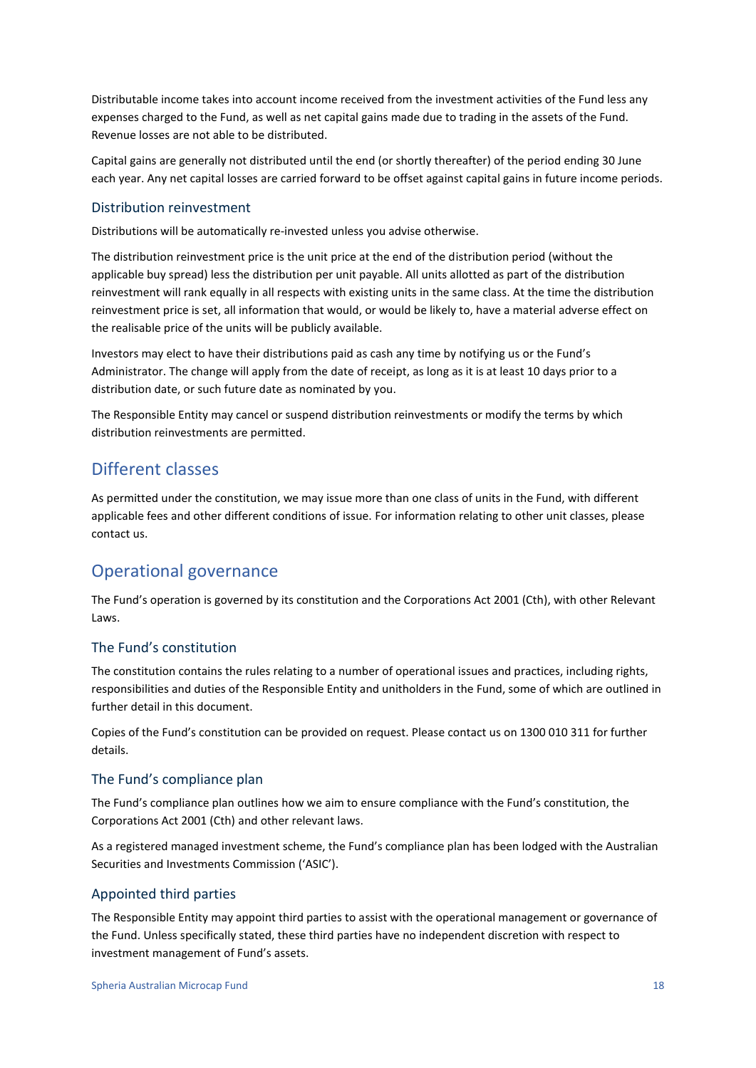Distributable income takes into account income received from the investment activities of the Fund less any expenses charged to the Fund, as well as net capital gains made due to trading in the assets of the Fund. Revenue losses are not able to be distributed.

Capital gains are generally not distributed until the end (or shortly thereafter) of the period ending 30 June each year. Any net capital losses are carried forward to be offset against capital gains in future income periods.

#### Distribution reinvestment

Distributions will be automatically re-invested unless you advise otherwise.

The distribution reinvestment price is the unit price at the end of the distribution period (without the applicable buy spread) less the distribution per unit payable. All units allotted as part of the distribution reinvestment will rank equally in all respects with existing units in the same class. At the time the distribution reinvestment price is set, all information that would, or would be likely to, have a material adverse effect on the realisable price of the units will be publicly available.

Investors may elect to have their distributions paid as cash any time by notifying us or the Fund's Administrator. The change will apply from the date of receipt, as long as it is at least 10 days prior to a distribution date, or such future date as nominated by you.

The Responsible Entity may cancel or suspend distribution reinvestments or modify the terms by which distribution reinvestments are permitted.

### Different classes

As permitted under the constitution, we may issue more than one class of units in the Fund, with different applicable fees and other different conditions of issue. For information relating to other unit classes, please contact us.

### Operational governance

The Fund's operation is governed by its constitution and the Corporations Act 2001 (Cth), with other Relevant Laws.

#### The Fund's constitution

The constitution contains the rules relating to a number of operational issues and practices, including rights, responsibilities and duties of the Responsible Entity and unitholders in the Fund, some of which are outlined in further detail in this document.

Copies of the Fund's constitution can be provided on request. Please contact us on 1300 010 311 for further details.

#### The Fund's compliance plan

The Fund's compliance plan outlines how we aim to ensure compliance with the Fund's constitution, the Corporations Act 2001 (Cth) and other relevant laws.

As a registered managed investment scheme, the Fund's compliance plan has been lodged with the Australian Securities and Investments Commission ('ASIC').

#### Appointed third parties

The Responsible Entity may appoint third parties to assist with the operational management or governance of the Fund. Unless specifically stated, these third parties have no independent discretion with respect to investment management of Fund's assets.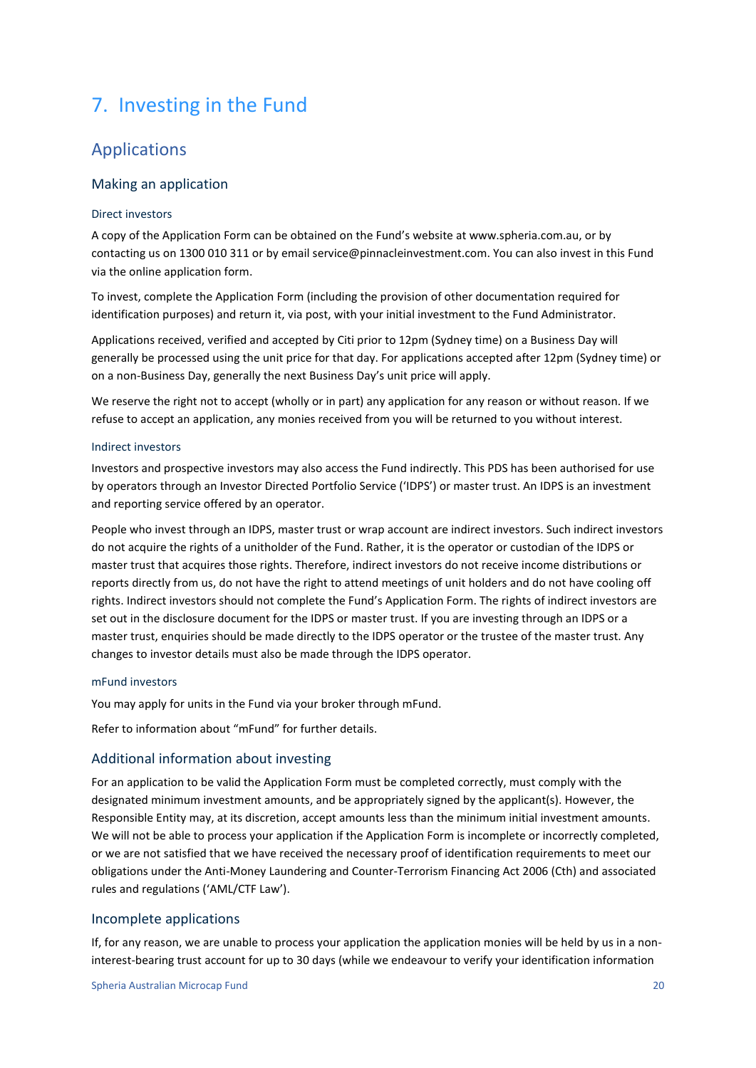## <span id="page-19-0"></span>7. Investing in the Fund

### Applications

#### Making an application

#### Direct investors

A copy of the Application Form can be obtained on the Fund's website at www.spheria.com.au, or by contacting us on 1300 010 311 or by email service@pinnacleinvestment.com. You can also invest in this Fund via the online application form.

To invest, complete the Application Form (including the provision of other documentation required for identification purposes) and return it, via post, with your initial investment to the Fund Administrator.

Applications received, verified and accepted by Citi prior to 12pm (Sydney time) on a Business Day will generally be processed using the unit price for that day. For applications accepted after 12pm (Sydney time) or on a non-Business Day, generally the next Business Day's unit price will apply.

We reserve the right not to accept (wholly or in part) any application for any reason or without reason. If we refuse to accept an application, any monies received from you will be returned to you without interest.

#### Indirect investors

Investors and prospective investors may also access the Fund indirectly. This PDS has been authorised for use by operators through an Investor Directed Portfolio Service ('IDPS') or master trust. An IDPS is an investment and reporting service offered by an operator.

People who invest through an IDPS, master trust or wrap account are indirect investors. Such indirect investors do not acquire the rights of a unitholder of the Fund. Rather, it is the operator or custodian of the IDPS or master trust that acquires those rights. Therefore, indirect investors do not receive income distributions or reports directly from us, do not have the right to attend meetings of unit holders and do not have cooling off rights. Indirect investors should not complete the Fund's Application Form. The rights of indirect investors are set out in the disclosure document for the IDPS or master trust. If you are investing through an IDPS or a master trust, enquiries should be made directly to the IDPS operator or the trustee of the master trust. Any changes to investor details must also be made through the IDPS operator.

#### mFund investors

You may apply for units in the Fund via your broker through mFund.

Refer to information about "mFund" for further details.

#### Additional information about investing

For an application to be valid the Application Form must be completed correctly, must comply with the designated minimum investment amounts, and be appropriately signed by the applicant(s). However, the Responsible Entity may, at its discretion, accept amounts less than the minimum initial investment amounts. We will not be able to process your application if the Application Form is incomplete or incorrectly completed, or we are not satisfied that we have received the necessary proof of identification requirements to meet our obligations under the Anti-Money Laundering and Counter-Terrorism Financing Act 2006 (Cth) and associated rules and regulations ('AML/CTF Law').

#### Incomplete applications

If, for any reason, we are unable to process your application the application monies will be held by us in a noninterest-bearing trust account for up to 30 days (while we endeavour to verify your identification information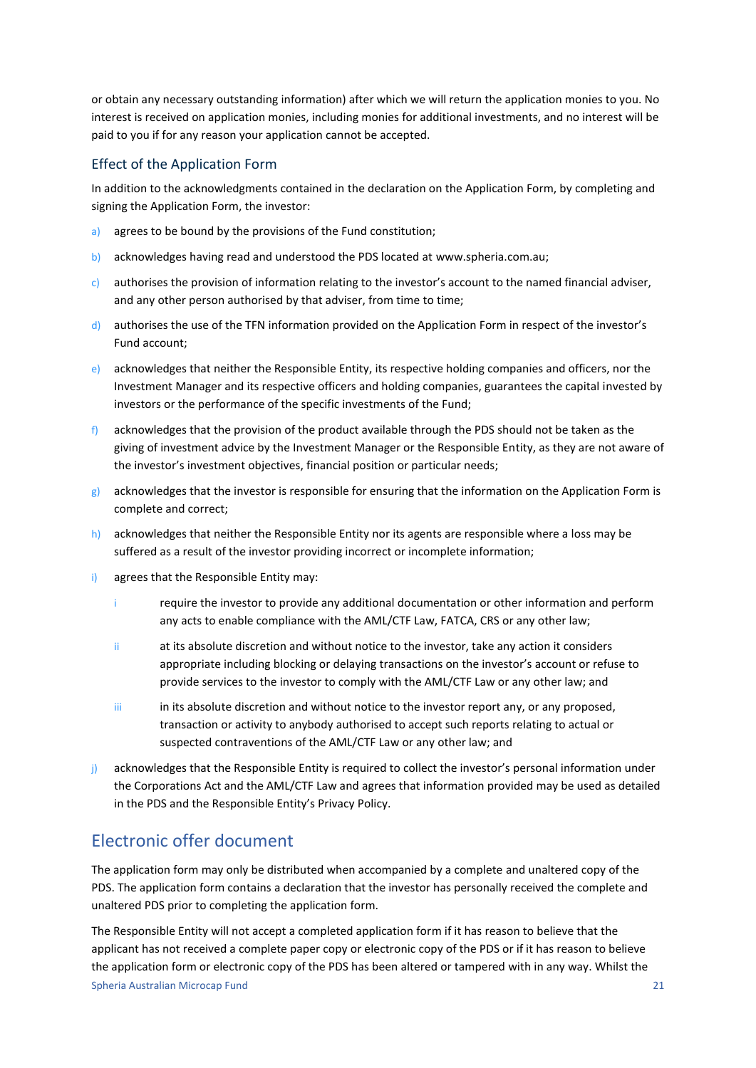or obtain any necessary outstanding information) after which we will return the application monies to you. No interest is received on application monies, including monies for additional investments, and no interest will be paid to you if for any reason your application cannot be accepted.

#### Effect of the Application Form

In addition to the acknowledgments contained in the declaration on the Application Form, by completing and signing the Application Form, the investor:

- a) agrees to be bound by the provisions of the Fund constitution;
- b) acknowledges having read and understood the PDS located at www.spheria.com.au;
- c) authorises the provision of information relating to the investor's account to the named financial adviser, and any other person authorised by that adviser, from time to time;
- d) authorises the use of the TFN information provided on the Application Form in respect of the investor's Fund account;
- e) acknowledges that neither the Responsible Entity, its respective holding companies and officers, nor the Investment Manager and its respective officers and holding companies, guarantees the capital invested by investors or the performance of the specific investments of the Fund;
- $f$ ) acknowledges that the provision of the product available through the PDS should not be taken as the giving of investment advice by the Investment Manager or the Responsible Entity, as they are not aware of the investor's investment objectives, financial position or particular needs;
- $g$ ) acknowledges that the investor is responsible for ensuring that the information on the Application Form is complete and correct;
- h) acknowledges that neither the Responsible Entity nor its agents are responsible where a loss may be suffered as a result of the investor providing incorrect or incomplete information;
- i) agrees that the Responsible Entity may:
	- i require the investor to provide any additional documentation or other information and perform any acts to enable compliance with the AML/CTF Law, FATCA, CRS or any other law;
	- ii at its absolute discretion and without notice to the investor, take any action it considers appropriate including blocking or delaying transactions on the investor's account or refuse to provide services to the investor to comply with the AML/CTF Law or any other law; and
	- iii in its absolute discretion and without notice to the investor report any, or any proposed, transaction or activity to anybody authorised to accept such reports relating to actual or suspected contraventions of the AML/CTF Law or any other law; and
- j) acknowledges that the Responsible Entity is required to collect the investor's personal information under the Corporations Act and the AML/CTF Law and agrees that information provided may be used as detailed in the PDS and the Responsible Entity's Privacy Policy.

### Electronic offer document

The application form may only be distributed when accompanied by a complete and unaltered copy of the PDS. The application form contains a declaration that the investor has personally received the complete and unaltered PDS prior to completing the application form.

Spheria Australian Microcap Fund 21 The Responsible Entity will not accept a completed application form if it has reason to believe that the applicant has not received a complete paper copy or electronic copy of the PDS or if it has reason to believe the application form or electronic copy of the PDS has been altered or tampered with in any way. Whilst the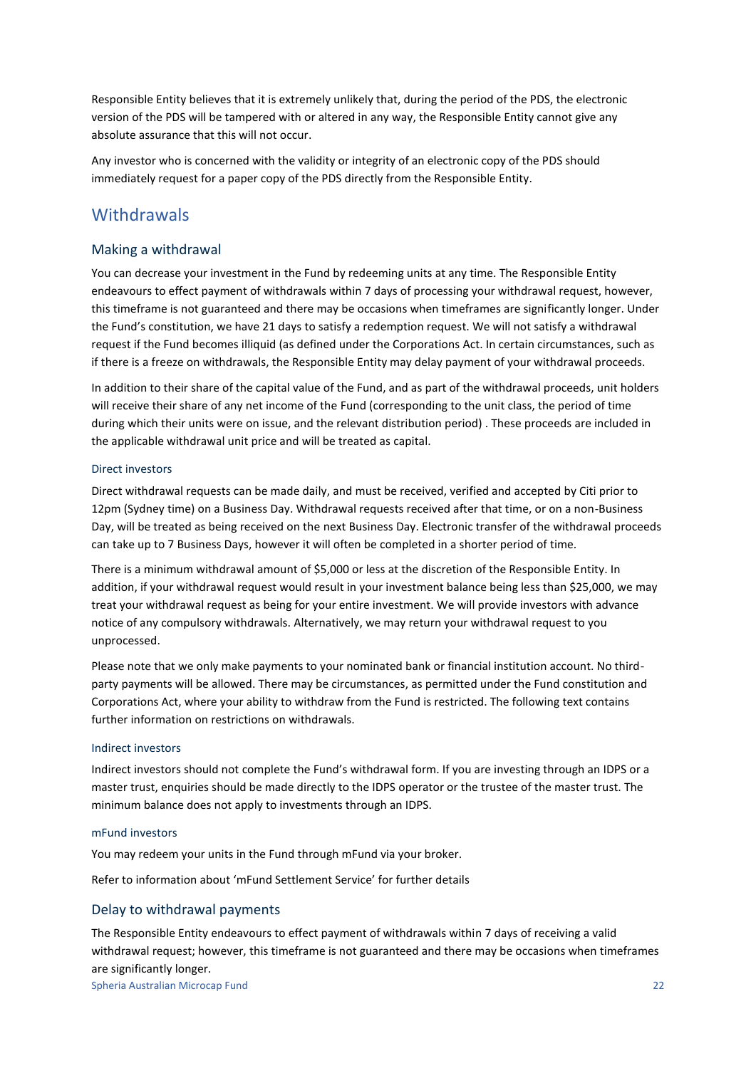Responsible Entity believes that it is extremely unlikely that, during the period of the PDS, the electronic version of the PDS will be tampered with or altered in any way, the Responsible Entity cannot give any absolute assurance that this will not occur.

Any investor who is concerned with the validity or integrity of an electronic copy of the PDS should immediately request for a paper copy of the PDS directly from the Responsible Entity.

### **Withdrawals**

#### Making a withdrawal

You can decrease your investment in the Fund by redeeming units at any time. The Responsible Entity endeavours to effect payment of withdrawals within 7 days of processing your withdrawal request, however, this timeframe is not guaranteed and there may be occasions when timeframes are significantly longer. Under the Fund's constitution, we have 21 days to satisfy a redemption request. We will not satisfy a withdrawal request if the Fund becomes illiquid (as defined under the Corporations Act. In certain circumstances, such as if there is a freeze on withdrawals, the Responsible Entity may delay payment of your withdrawal proceeds.

In addition to their share of the capital value of the Fund, and as part of the withdrawal proceeds, unit holders will receive their share of any net income of the Fund (corresponding to the unit class, the period of time during which their units were on issue, and the relevant distribution period) . These proceeds are included in the applicable withdrawal unit price and will be treated as capital.

#### Direct investors

Direct withdrawal requests can be made daily, and must be received, verified and accepted by Citi prior to 12pm (Sydney time) on a Business Day. Withdrawal requests received after that time, or on a non-Business Day, will be treated as being received on the next Business Day. Electronic transfer of the withdrawal proceeds can take up to 7 Business Days, however it will often be completed in a shorter period of time.

There is a minimum withdrawal amount of \$5,000 or less at the discretion of the Responsible Entity. In addition, if your withdrawal request would result in your investment balance being less than \$25,000, we may treat your withdrawal request as being for your entire investment. We will provide investors with advance notice of any compulsory withdrawals. Alternatively, we may return your withdrawal request to you unprocessed.

Please note that we only make payments to your nominated bank or financial institution account. No thirdparty payments will be allowed. There may be circumstances, as permitted under the Fund constitution and Corporations Act, where your ability to withdraw from the Fund is restricted. The following text contains further information on restrictions on withdrawals.

#### Indirect investors

Indirect investors should not complete the Fund's withdrawal form. If you are investing through an IDPS or a master trust, enquiries should be made directly to the IDPS operator or the trustee of the master trust. The minimum balance does not apply to investments through an IDPS.

#### mFund investors

You may redeem your units in the Fund through mFund via your broker.

Refer to information about 'mFund Settlement Service' for further details

#### Delay to withdrawal payments

The Responsible Entity endeavours to effect payment of withdrawals within 7 days of receiving a valid withdrawal request; however, this timeframe is not guaranteed and there may be occasions when timeframes are significantly longer.

Spheria Australian Microcap Fund 22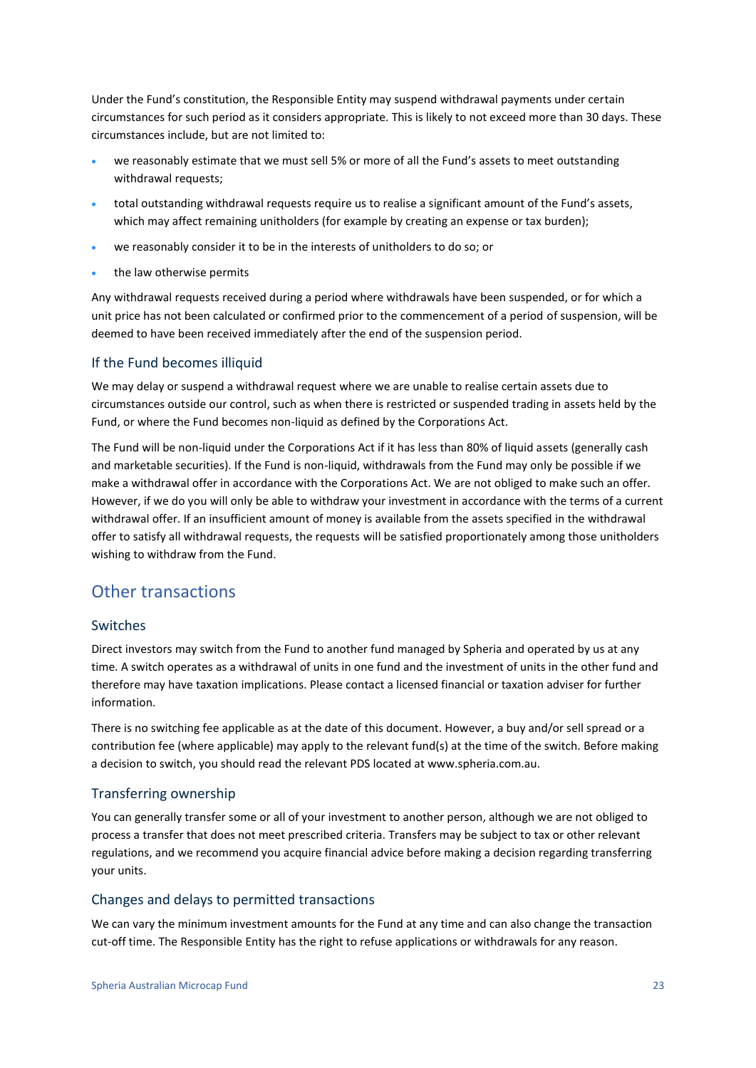Under the Fund's constitution, the Responsible Entity may suspend withdrawal payments under certain circumstances for such period as it considers appropriate. This is likely to not exceed more than 30 days. These circumstances include, but are not limited to:

- we reasonably estimate that we must sell 5% or more of all the Fund's assets to meet outstanding withdrawal requests;
- total outstanding withdrawal requests require us to realise a significant amount of the Fund's assets, which may affect remaining unitholders (for example by creating an expense or tax burden);
- we reasonably consider it to be in the interests of unitholders to do so; or
- the law otherwise permits

Any withdrawal requests received during a period where withdrawals have been suspended, or for which a unit price has not been calculated or confirmed prior to the commencement of a period of suspension, will be deemed to have been received immediately after the end of the suspension period.

#### If the Fund becomes illiquid

We may delay or suspend a withdrawal request where we are unable to realise certain assets due to circumstances outside our control, such as when there is restricted or suspended trading in assets held by the Fund, or where the Fund becomes non-liquid as defined by the Corporations Act.

The Fund will be non-liquid under the Corporations Act if it has less than 80% of liquid assets (generally cash and marketable securities). If the Fund is non-liquid, withdrawals from the Fund may only be possible if we make a withdrawal offer in accordance with the Corporations Act. We are not obliged to make such an offer. However, if we do you will only be able to withdraw your investment in accordance with the terms of a current withdrawal offer. If an insufficient amount of money is available from the assets specified in the withdrawal offer to satisfy all withdrawal requests, the requests will be satisfied proportionately among those unitholders wishing to withdraw from the Fund.

### Other transactions

#### Switches

Direct investors may switch from the Fund to another fund managed by Spheria and operated by us at any time. A switch operates as a withdrawal of units in one fund and the investment of units in the other fund and therefore may have taxation implications. Please contact a licensed financial or taxation adviser for further information.

There is no switching fee applicable as at the date of this document. However, a buy and/or sell spread or a contribution fee (where applicable) may apply to the relevant fund(s) at the time of the switch. Before making a decision to switch, you should read the relevant PDS located at www.spheria.com.au.

#### Transferring ownership

You can generally transfer some or all of your investment to another person, although we are not obliged to process a transfer that does not meet prescribed criteria. Transfers may be subject to tax or other relevant regulations, and we recommend you acquire financial advice before making a decision regarding transferring your units.

#### Changes and delays to permitted transactions

We can vary the minimum investment amounts for the Fund at any time and can also change the transaction cut-off time. The Responsible Entity has the right to refuse applications or withdrawals for any reason.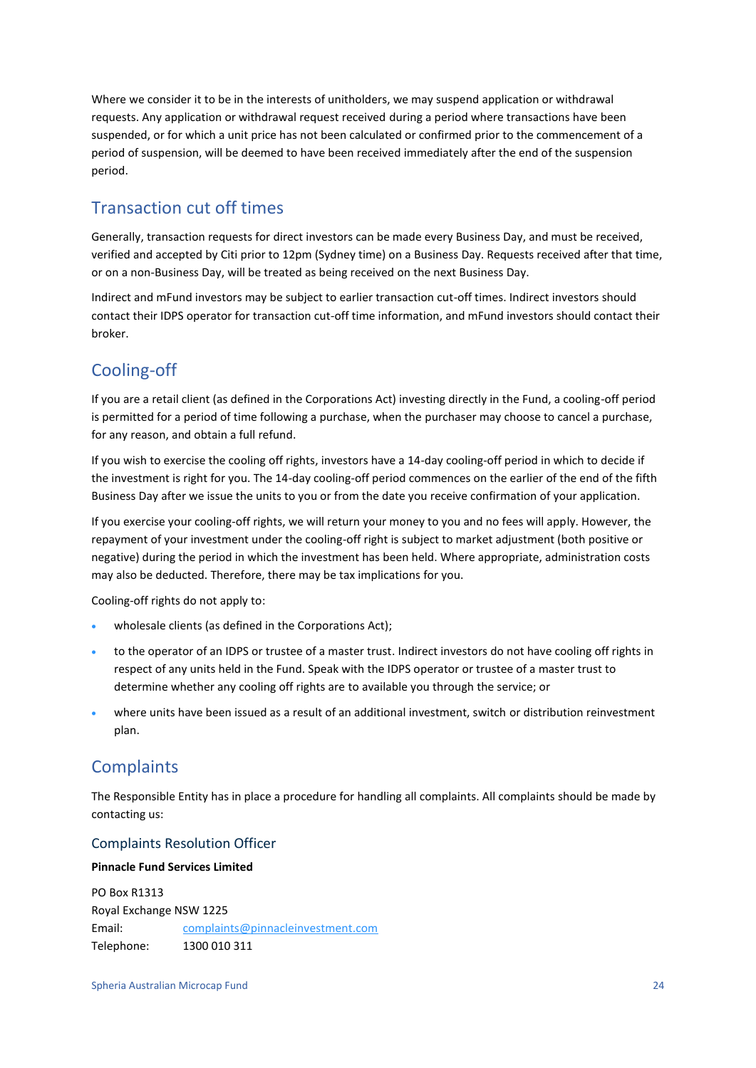Where we consider it to be in the interests of unitholders, we may suspend application or withdrawal requests. Any application or withdrawal request received during a period where transactions have been suspended, or for which a unit price has not been calculated or confirmed prior to the commencement of a period of suspension, will be deemed to have been received immediately after the end of the suspension period.

### Transaction cut off times

Generally, transaction requests for direct investors can be made every Business Day, and must be received, verified and accepted by Citi prior to 12pm (Sydney time) on a Business Day. Requests received after that time, or on a non-Business Day, will be treated as being received on the next Business Day.

Indirect and mFund investors may be subject to earlier transaction cut-off times. Indirect investors should contact their IDPS operator for transaction cut-off time information, and mFund investors should contact their broker.

### Cooling-off

If you are a retail client (as defined in the Corporations Act) investing directly in the Fund, a cooling-off period is permitted for a period of time following a purchase, when the purchaser may choose to cancel a purchase, for any reason, and obtain a full refund.

If you wish to exercise the cooling off rights, investors have a 14-day cooling-off period in which to decide if the investment is right for you. The 14-day cooling-off period commences on the earlier of the end of the fifth Business Day after we issue the units to you or from the date you receive confirmation of your application.

If you exercise your cooling-off rights, we will return your money to you and no fees will apply. However, the repayment of your investment under the cooling-off right is subject to market adjustment (both positive or negative) during the period in which the investment has been held. Where appropriate, administration costs may also be deducted. Therefore, there may be tax implications for you.

Cooling-off rights do not apply to:

- wholesale clients (as defined in the Corporations Act);
- to the operator of an IDPS or trustee of a master trust. Indirect investors do not have cooling off rights in respect of any units held in the Fund. Speak with the IDPS operator or trustee of a master trust to determine whether any cooling off rights are to available you through the service; or
- where units have been issued as a result of an additional investment, switch or distribution reinvestment plan.

### **Complaints**

The Responsible Entity has in place a procedure for handling all complaints. All complaints should be made by contacting us:

#### Complaints Resolution Officer

#### **Pinnacle Fund Services Limited**

PO Box R1313 Royal Exchange NSW 1225 Email: complaints@pinnacleinvestment.com Telephone: 1300 010 311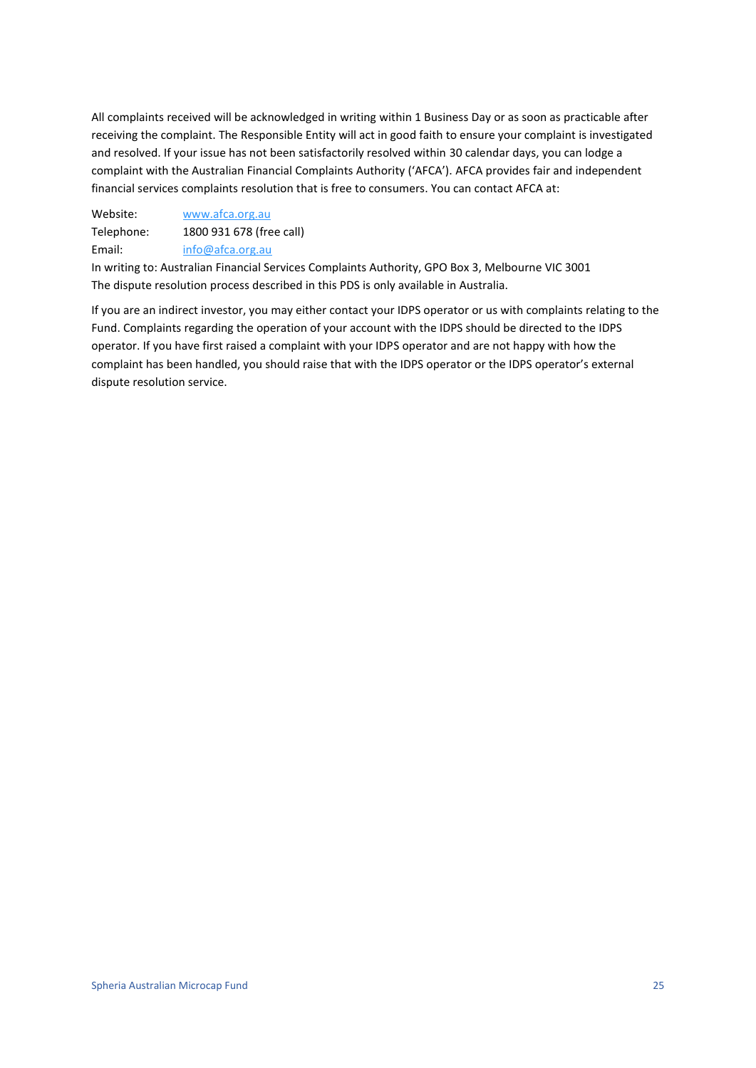All complaints received will be acknowledged in writing within 1 Business Day or as soon as practicable after receiving the complaint. The Responsible Entity will act in good faith to ensure your complaint is investigated and resolved. If your issue has not been satisfactorily resolved within 30 calendar days, you can lodge a complaint with the Australian Financial Complaints Authority ('AFCA'). AFCA provides fair and independent financial services complaints resolution that is free to consumers. You can contact AFCA at:

Website: [www.afca.org.au](http://www.afca.org.au/) Telephone: 1800 931 678 (free call) Email: [info@afca.org.au](mailto:info@afca.org.au)

In writing to: Australian Financial Services Complaints Authority, GPO Box 3, Melbourne VIC 3001 The dispute resolution process described in this PDS is only available in Australia.

If you are an indirect investor, you may either contact your IDPS operator or us with complaints relating to the Fund. Complaints regarding the operation of your account with the IDPS should be directed to the IDPS operator. If you have first raised a complaint with your IDPS operator and are not happy with how the complaint has been handled, you should raise that with the IDPS operator or the IDPS operator's external dispute resolution service.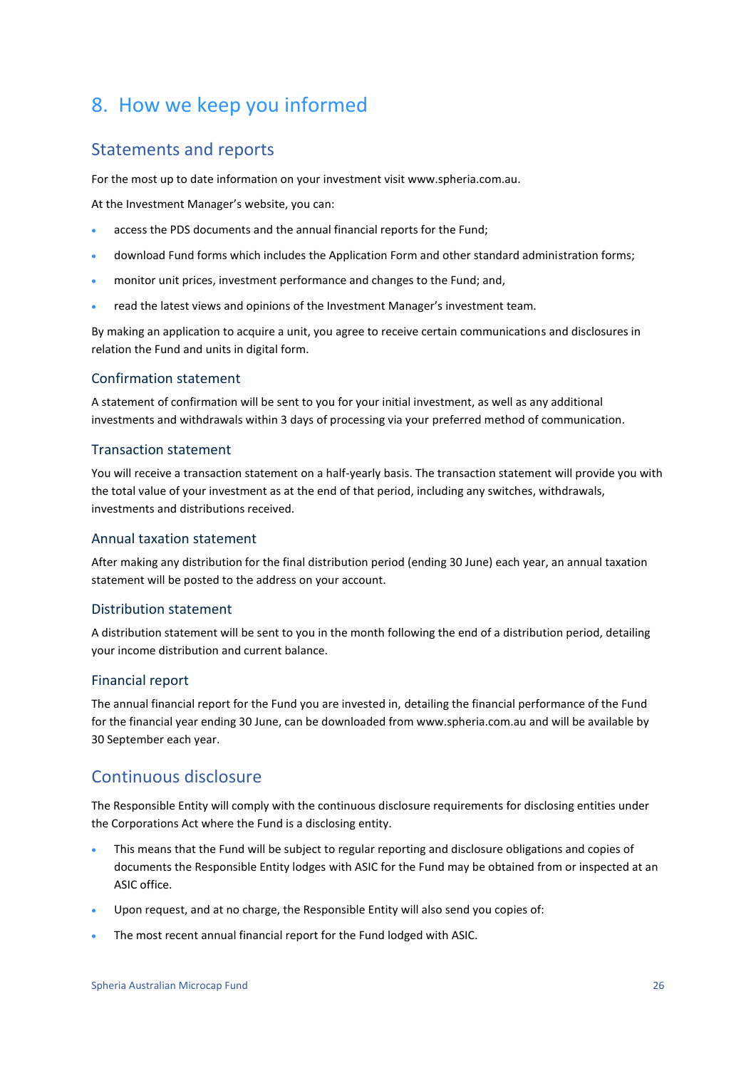## <span id="page-25-0"></span>8. How we keep you informed

### Statements and reports

For the most up to date information on your investment visit www.spheria.com.au.

At the Investment Manager's website, you can:

- access the PDS documents and the annual financial reports for the Fund;
- download Fund forms which includes the Application Form and other standard administration forms;
- monitor unit prices, investment performance and changes to the Fund; and,
- read the latest views and opinions of the Investment Manager's investment team.

By making an application to acquire a unit, you agree to receive certain communications and disclosures in relation the Fund and units in digital form.

#### Confirmation statement

A statement of confirmation will be sent to you for your initial investment, as well as any additional investments and withdrawals within 3 days of processing via your preferred method of communication.

#### Transaction statement

You will receive a transaction statement on a half-yearly basis. The transaction statement will provide you with the total value of your investment as at the end of that period, including any switches, withdrawals, investments and distributions received.

#### Annual taxation statement

After making any distribution for the final distribution period (ending 30 June) each year, an annual taxation statement will be posted to the address on your account.

#### Distribution statement

A distribution statement will be sent to you in the month following the end of a distribution period, detailing your income distribution and current balance.

#### Financial report

The annual financial report for the Fund you are invested in, detailing the financial performance of the Fund for the financial year ending 30 June, can be downloaded from www.spheria.com.au and will be available by 30 September each year.

### Continuous disclosure

The Responsible Entity will comply with the continuous disclosure requirements for disclosing entities under the Corporations Act where the Fund is a disclosing entity.

- This means that the Fund will be subject to regular reporting and disclosure obligations and copies of documents the Responsible Entity lodges with ASIC for the Fund may be obtained from or inspected at an ASIC office.
- Upon request, and at no charge, the Responsible Entity will also send you copies of:
- The most recent annual financial report for the Fund lodged with ASIC.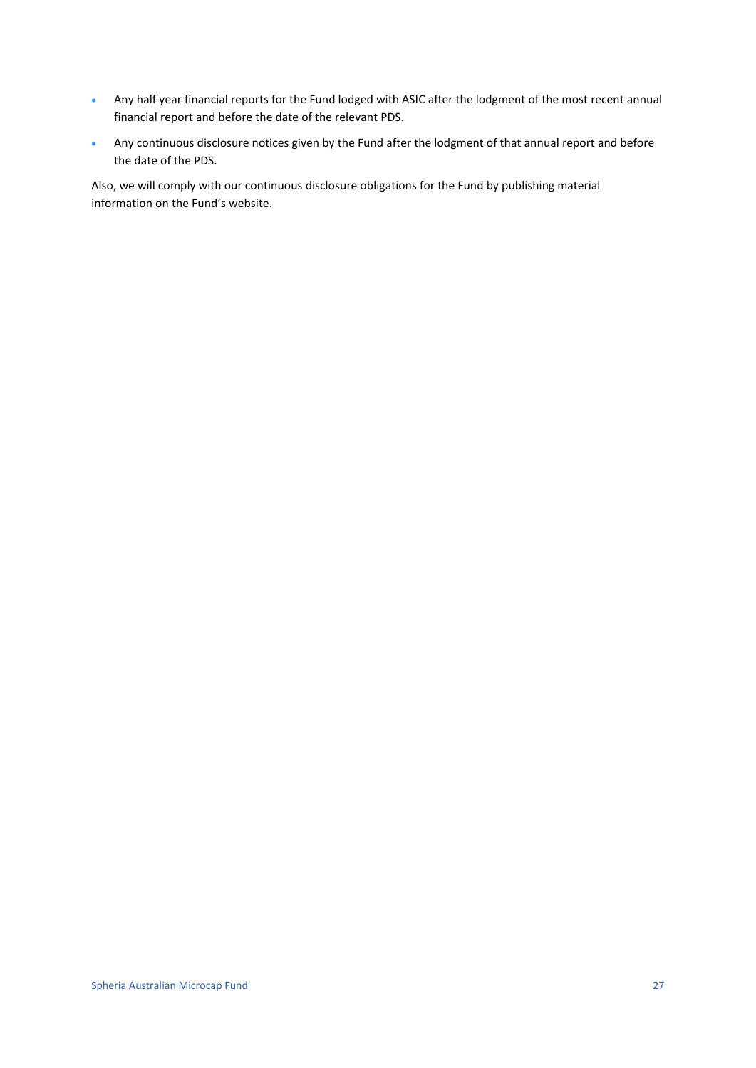- Any half year financial reports for the Fund lodged with ASIC after the lodgment of the most recent annual financial report and before the date of the relevant PDS.
- Any continuous disclosure notices given by the Fund after the lodgment of that annual report and before the date of the PDS.

Also, we will comply with our continuous disclosure obligations for the Fund by publishing material information on the Fund's website.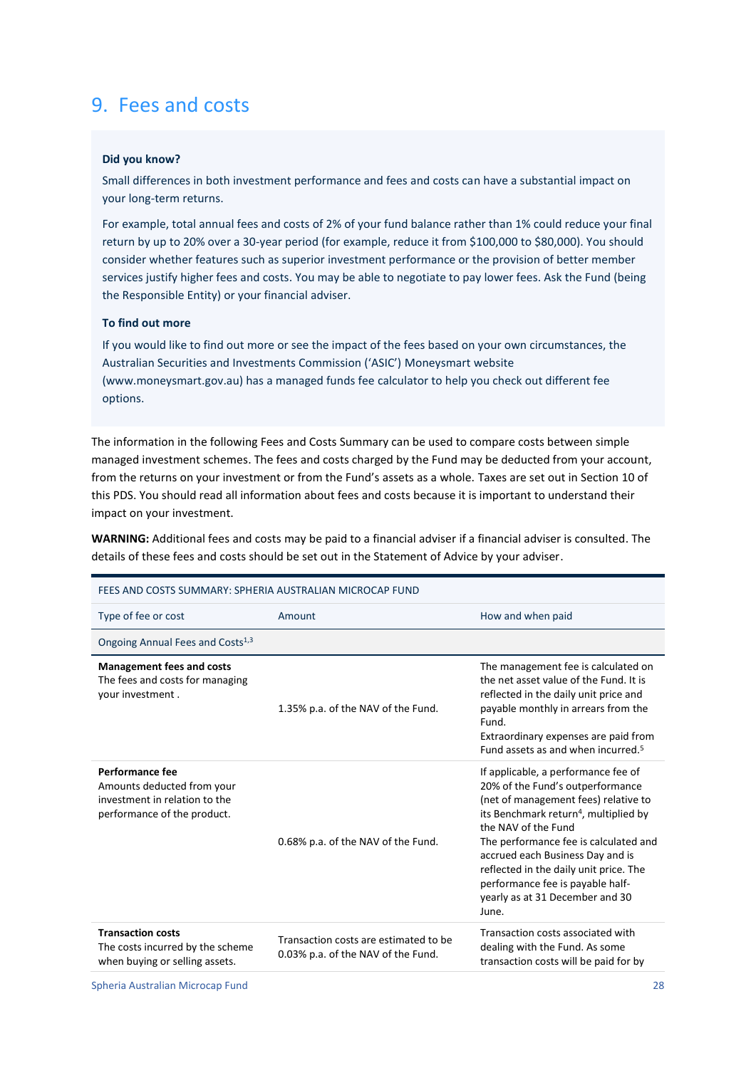## <span id="page-27-0"></span>9. Fees and costs

#### **Did you know?**

Small differences in both investment performance and fees and costs can have a substantial impact on your long-term returns.

For example, total annual fees and costs of 2% of your fund balance rather than 1% could reduce your final return by up to 20% over a 30-year period (for example, reduce it from \$100,000 to \$80,000). You should consider whether features such as superior investment performance or the provision of better member services justify higher fees and costs. You may be able to negotiate to pay lower fees. Ask the Fund (being the Responsible Entity) or your financial adviser.

#### **To find out more**

If you would like to find out more or see the impact of the fees based on your own circumstances, the Australian Securities and Investments Commission ('ASIC') Moneysmart website (www.moneysmart.gov.au) has a managed funds fee calculator to help you check out different fee options.

The information in the following Fees and Costs Summary can be used to compare costs between simple managed investment schemes. The fees and costs charged by the Fund may be deducted from your account, from the returns on your investment or from the Fund's assets as a whole. Taxes are set out in Sectio[n 10](#page-33-0) of this PDS. You should read all information about fees and costs because it is important to understand their impact on your investment.

**WARNING:** Additional fees and costs may be paid to a financial adviser if a financial adviser is consulted. The details of these fees and costs should be set out in the Statement of Advice by your adviser.

| FEES AND COSTS SUMMARY: SPHERIA AUSTRALIAN MICROCAP FUND                                                      |                                                                             |                                                                                                                                                                                                                                                                                                                                                                                                    |
|---------------------------------------------------------------------------------------------------------------|-----------------------------------------------------------------------------|----------------------------------------------------------------------------------------------------------------------------------------------------------------------------------------------------------------------------------------------------------------------------------------------------------------------------------------------------------------------------------------------------|
| Type of fee or cost                                                                                           | Amount                                                                      | How and when paid                                                                                                                                                                                                                                                                                                                                                                                  |
| Ongoing Annual Fees and Costs <sup>1,3</sup>                                                                  |                                                                             |                                                                                                                                                                                                                                                                                                                                                                                                    |
| <b>Management fees and costs</b><br>The fees and costs for managing<br>your investment.                       | 1.35% p.a. of the NAV of the Fund.                                          | The management fee is calculated on<br>the net asset value of the Fund. It is<br>reflected in the daily unit price and<br>payable monthly in arrears from the<br>Fund.<br>Extraordinary expenses are paid from<br>Fund assets as and when incurred. <sup>5</sup>                                                                                                                                   |
| Performance fee<br>Amounts deducted from your<br>investment in relation to the<br>performance of the product. | 0.68% p.a. of the NAV of the Fund.                                          | If applicable, a performance fee of<br>20% of the Fund's outperformance<br>(net of management fees) relative to<br>its Benchmark return <sup>4</sup> , multiplied by<br>the NAV of the Fund<br>The performance fee is calculated and<br>accrued each Business Day and is<br>reflected in the daily unit price. The<br>performance fee is payable half-<br>yearly as at 31 December and 30<br>June. |
| <b>Transaction costs</b><br>The costs incurred by the scheme<br>when buying or selling assets.                | Transaction costs are estimated to be<br>0.03% p.a. of the NAV of the Fund. | Transaction costs associated with<br>dealing with the Fund. As some<br>transaction costs will be paid for by                                                                                                                                                                                                                                                                                       |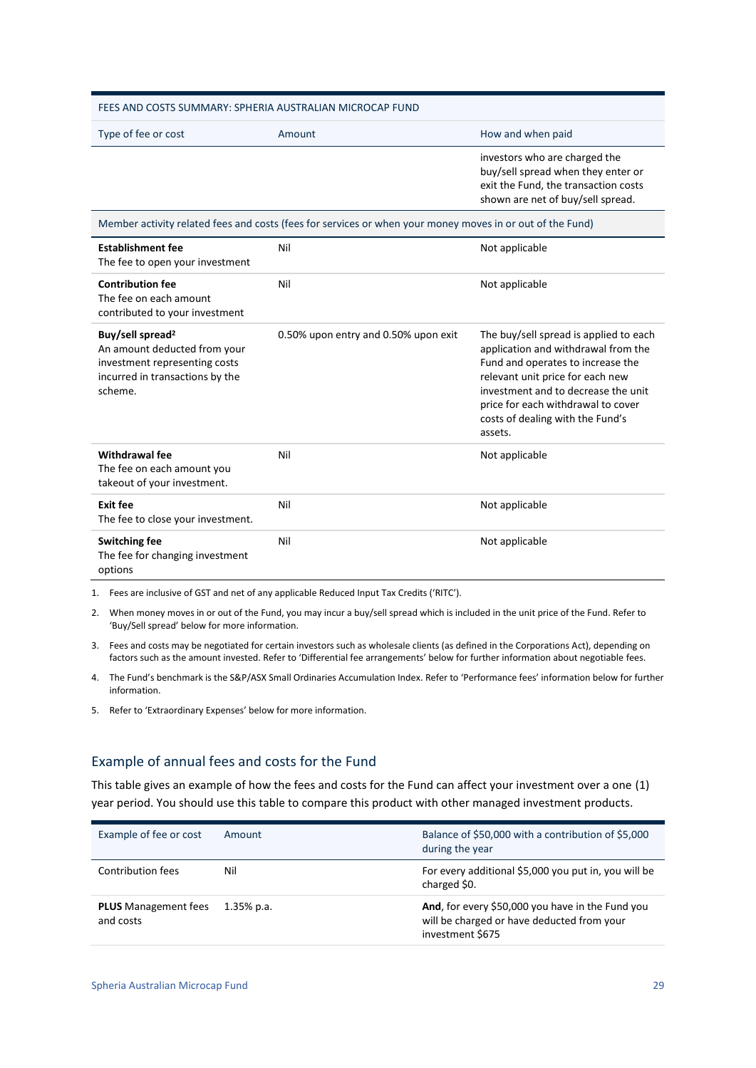| FEES AND COSTS SUMMARY: SPHERIA AUSTRALIAN MICROCAP FUND                                                                                    |                                                                                                           |                                                                                                                                                                                                                                                                                    |  |
|---------------------------------------------------------------------------------------------------------------------------------------------|-----------------------------------------------------------------------------------------------------------|------------------------------------------------------------------------------------------------------------------------------------------------------------------------------------------------------------------------------------------------------------------------------------|--|
| Type of fee or cost                                                                                                                         | Amount                                                                                                    | How and when paid                                                                                                                                                                                                                                                                  |  |
|                                                                                                                                             |                                                                                                           | investors who are charged the<br>buy/sell spread when they enter or<br>exit the Fund, the transaction costs<br>shown are net of buy/sell spread.                                                                                                                                   |  |
|                                                                                                                                             | Member activity related fees and costs (fees for services or when your money moves in or out of the Fund) |                                                                                                                                                                                                                                                                                    |  |
| <b>Establishment fee</b><br>The fee to open your investment                                                                                 | Nil                                                                                                       | Not applicable                                                                                                                                                                                                                                                                     |  |
| <b>Contribution fee</b><br>The fee on each amount<br>contributed to your investment                                                         | Nil                                                                                                       | Not applicable                                                                                                                                                                                                                                                                     |  |
| Buy/sell spread <sup>2</sup><br>An amount deducted from your<br>investment representing costs<br>incurred in transactions by the<br>scheme. | 0.50% upon entry and 0.50% upon exit                                                                      | The buy/sell spread is applied to each<br>application and withdrawal from the<br>Fund and operates to increase the<br>relevant unit price for each new<br>investment and to decrease the unit<br>price for each withdrawal to cover<br>costs of dealing with the Fund's<br>assets. |  |
| Withdrawal fee<br>The fee on each amount you<br>takeout of your investment.                                                                 | Nil                                                                                                       | Not applicable                                                                                                                                                                                                                                                                     |  |
| <b>Exit fee</b><br>The fee to close your investment.                                                                                        | Nil                                                                                                       | Not applicable                                                                                                                                                                                                                                                                     |  |
| <b>Switching fee</b><br>The fee for changing investment<br>options                                                                          | Nil                                                                                                       | Not applicable                                                                                                                                                                                                                                                                     |  |

1. Fees are inclusive of GST and net of any applicable Reduced Input Tax Credits ('RITC').

2. When money moves in or out of the Fund, you may incur a buy/sell spread which is included in the unit price of the Fund. Refer to 'Buy/Sell spread' below for more information.

3. Fees and costs may be negotiated for certain investors such as wholesale clients (as defined in the Corporations Act), depending on factors such as the amount invested. Refer to 'Differential fee arrangements' below for further information about negotiable fees.

4. The Fund's benchmark is the S&P/ASX Small Ordinaries Accumulation Index. Refer to 'Performance fees' information below for further information.

5. Refer to 'Extraordinary Expenses' below for more information.

#### Example of annual fees and costs for the Fund

This table gives an example of how the fees and costs for the Fund can affect your investment over a one (1) year period. You should use this table to compare this product with other managed investment products.

| Example of fee or cost                   | Amount        | Balance of \$50,000 with a contribution of \$5,000<br>during the year                                              |
|------------------------------------------|---------------|--------------------------------------------------------------------------------------------------------------------|
| Contribution fees                        | Nil           | For every additional \$5,000 you put in, you will be<br>charged \$0.                                               |
| <b>PLUS</b> Management fees<br>and costs | $1.35\%$ p.a. | And, for every \$50,000 you have in the Fund you<br>will be charged or have deducted from your<br>investment \$675 |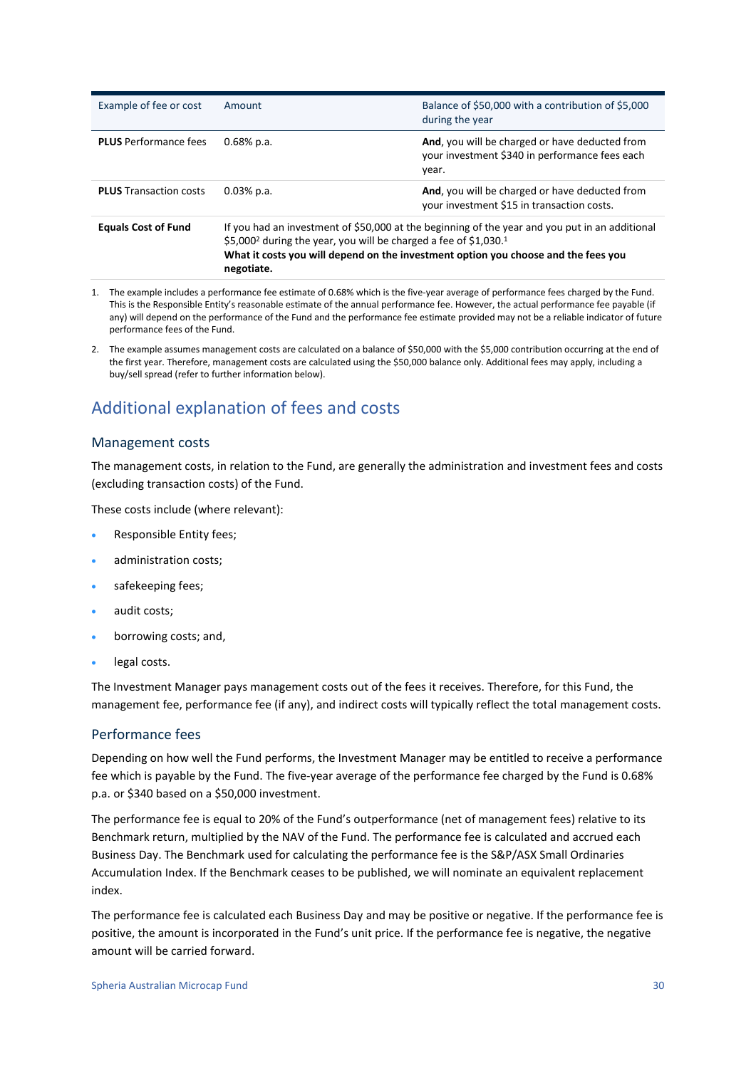| Example of fee or cost        | Amount                                                                                                                                                                                                                                                                                         | Balance of \$50,000 with a contribution of \$5,000<br>during the year                                     |
|-------------------------------|------------------------------------------------------------------------------------------------------------------------------------------------------------------------------------------------------------------------------------------------------------------------------------------------|-----------------------------------------------------------------------------------------------------------|
| <b>PLUS</b> Performance fees  | $0.68\%$ p.a.                                                                                                                                                                                                                                                                                  | And, you will be charged or have deducted from<br>your investment \$340 in performance fees each<br>year. |
| <b>PLUS Transaction costs</b> | $0.03\%$ p.a.                                                                                                                                                                                                                                                                                  | And, you will be charged or have deducted from<br>your investment \$15 in transaction costs.              |
| <b>Equals Cost of Fund</b>    | If you had an investment of \$50,000 at the beginning of the year and you put in an additional<br>\$5,000 <sup>2</sup> during the year, you will be charged a fee of \$1,030. <sup>1</sup><br>What it costs you will depend on the investment option you choose and the fees you<br>negotiate. |                                                                                                           |

- 1. The example includes a performance fee estimate of 0.68% which is the five-year average of performance fees charged by the Fund. This is the Responsible Entity's reasonable estimate of the annual performance fee. However, the actual performance fee payable (if any) will depend on the performance of the Fund and the performance fee estimate provided may not be a reliable indicator of future performance fees of the Fund.
- 2. The example assumes management costs are calculated on a balance of \$50,000 with the \$5,000 contribution occurring at the end of the first year. Therefore, management costs are calculated using the \$50,000 balance only. Additional fees may apply, including a buy/sell spread (refer to further information below).

### Additional explanation of fees and costs

#### Management costs

The management costs, in relation to the Fund, are generally the administration and investment fees and costs (excluding transaction costs) of the Fund.

These costs include (where relevant):

- Responsible Entity fees;
- administration costs:
- safekeeping fees;
- audit costs;
- borrowing costs; and,
- legal costs.

The Investment Manager pays management costs out of the fees it receives. Therefore, for this Fund, the management fee, performance fee (if any), and indirect costs will typically reflect the total management costs.

#### Performance fees

Depending on how well the Fund performs, the Investment Manager may be entitled to receive a performance fee which is payable by the Fund. The five-year average of the performance fee charged by the Fund is 0.68% p.a. or \$340 based on a \$50,000 investment.

The performance fee is equal to 20% of the Fund's outperformance (net of management fees) relative to its Benchmark return, multiplied by the NAV of the Fund. The performance fee is calculated and accrued each Business Day. The Benchmark used for calculating the performance fee is the S&P/ASX Small Ordinaries Accumulation Index. If the Benchmark ceases to be published, we will nominate an equivalent replacement index.

The performance fee is calculated each Business Day and may be positive or negative. If the performance fee is positive, the amount is incorporated in the Fund's unit price. If the performance fee is negative, the negative amount will be carried forward.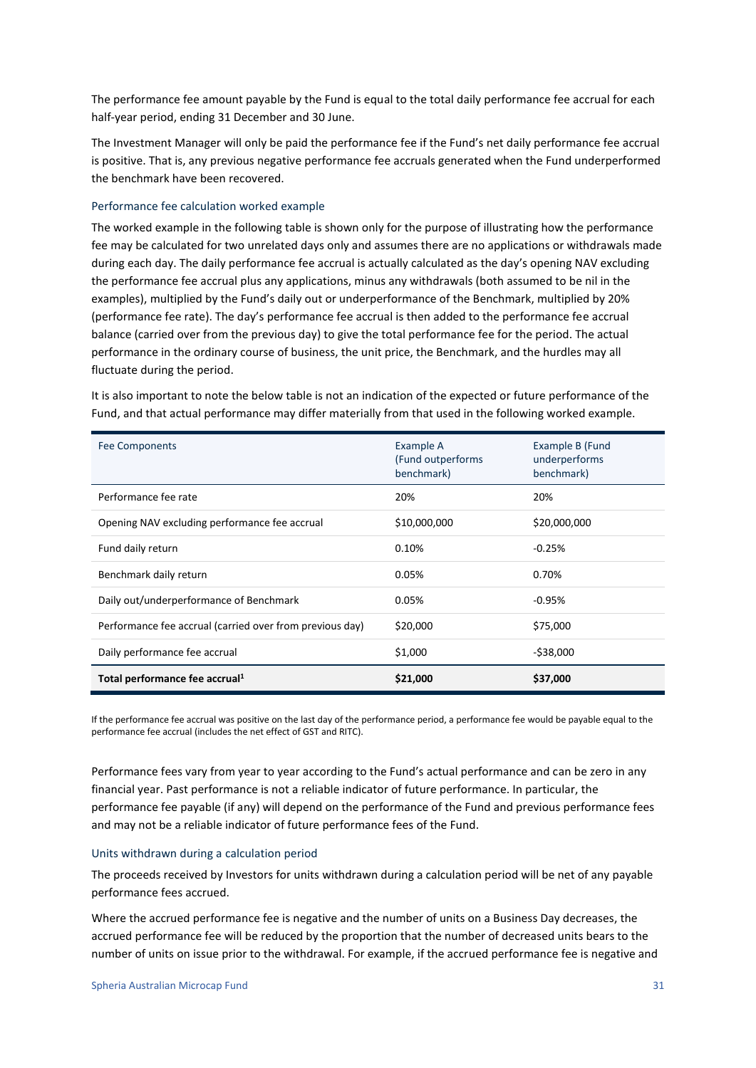The performance fee amount payable by the Fund is equal to the total daily performance fee accrual for each half-year period, ending 31 December and 30 June.

The Investment Manager will only be paid the performance fee if the Fund's net daily performance fee accrual is positive. That is, any previous negative performance fee accruals generated when the Fund underperformed the benchmark have been recovered.

#### Performance fee calculation worked example

The worked example in the following table is shown only for the purpose of illustrating how the performance fee may be calculated for two unrelated days only and assumes there are no applications or withdrawals made during each day. The daily performance fee accrual is actually calculated as the day's opening NAV excluding the performance fee accrual plus any applications, minus any withdrawals (both assumed to be nil in the examples), multiplied by the Fund's daily out or underperformance of the Benchmark, multiplied by 20% (performance fee rate). The day's performance fee accrual is then added to the performance fee accrual balance (carried over from the previous day) to give the total performance fee for the period. The actual performance in the ordinary course of business, the unit price, the Benchmark, and the hurdles may all fluctuate during the period.

It is also important to note the below table is not an indication of the expected or future performance of the Fund, and that actual performance may differ materially from that used in the following worked example.

| <b>Fee Components</b>                                    | Example A<br>(Fund outperforms<br>benchmark) | Example B (Fund<br>underperforms<br>benchmark) |
|----------------------------------------------------------|----------------------------------------------|------------------------------------------------|
| Performance fee rate                                     | 20%                                          | 20%                                            |
| Opening NAV excluding performance fee accrual            | \$10,000,000                                 | \$20,000,000                                   |
| Fund daily return                                        | 0.10%                                        | $-0.25%$                                       |
| Benchmark daily return                                   | 0.05%                                        | 0.70%                                          |
| Daily out/underperformance of Benchmark                  | 0.05%                                        | $-0.95\%$                                      |
| Performance fee accrual (carried over from previous day) | \$20,000                                     | \$75,000                                       |
| Daily performance fee accrual                            | \$1,000                                      | $-538,000$                                     |
| Total performance fee accrual <sup>1</sup>               | \$21,000                                     | \$37,000                                       |

If the performance fee accrual was positive on the last day of the performance period, a performance fee would be payable equal to the performance fee accrual (includes the net effect of GST and RITC).

Performance fees vary from year to year according to the Fund's actual performance and can be zero in any financial year. Past performance is not a reliable indicator of future performance. In particular, the performance fee payable (if any) will depend on the performance of the Fund and previous performance fees and may not be a reliable indicator of future performance fees of the Fund.

#### Units withdrawn during a calculation period

The proceeds received by Investors for units withdrawn during a calculation period will be net of any payable performance fees accrued.

Where the accrued performance fee is negative and the number of units on a Business Day decreases, the accrued performance fee will be reduced by the proportion that the number of decreased units bears to the number of units on issue prior to the withdrawal. For example, if the accrued performance fee is negative and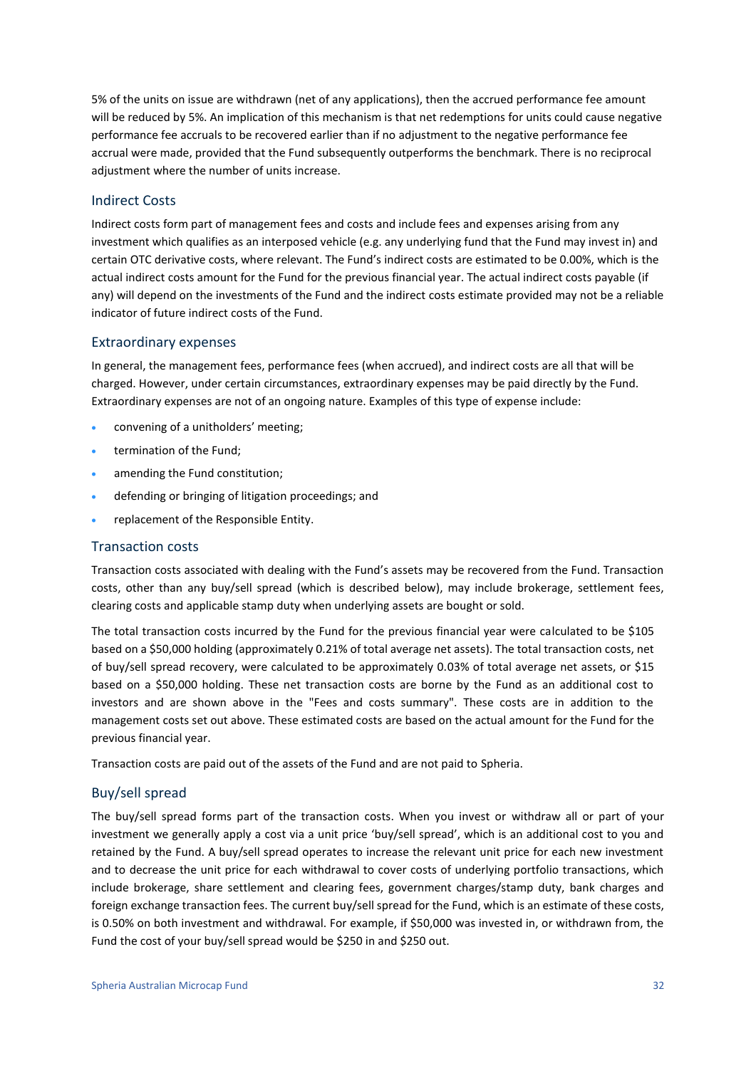5% of the units on issue are withdrawn (net of any applications), then the accrued performance fee amount will be reduced by 5%. An implication of this mechanism is that net redemptions for units could cause negative performance fee accruals to be recovered earlier than if no adjustment to the negative performance fee accrual were made, provided that the Fund subsequently outperforms the benchmark. There is no reciprocal adjustment where the number of units increase.

#### Indirect Costs

Indirect costs form part of management fees and costs and include fees and expenses arising from any investment which qualifies as an interposed vehicle (e.g. any underlying fund that the Fund may invest in) and certain OTC derivative costs, where relevant. The Fund's indirect costs are estimated to be 0.00%, which is the actual indirect costs amount for the Fund for the previous financial year. The actual indirect costs payable (if any) will depend on the investments of the Fund and the indirect costs estimate provided may not be a reliable indicator of future indirect costs of the Fund.

#### Extraordinary expenses

In general, the management fees, performance fees (when accrued), and indirect costs are all that will be charged. However, under certain circumstances, extraordinary expenses may be paid directly by the Fund. Extraordinary expenses are not of an ongoing nature. Examples of this type of expense include:

- convening of a unitholders' meeting;
- termination of the Fund;
- amending the Fund constitution;
- defending or bringing of litigation proceedings; and
- replacement of the Responsible Entity.

#### Transaction costs

Transaction costs associated with dealing with the Fund's assets may be recovered from the Fund. Transaction costs, other than any buy/sell spread (which is described below), may include brokerage, settlement fees, clearing costs and applicable stamp duty when underlying assets are bought or sold.

The total transaction costs incurred by the Fund for the previous financial year were calculated to be \$105 based on a \$50,000 holding (approximately 0.21% of total average net assets). The total transaction costs, net of buy/sell spread recovery, were calculated to be approximately 0.03% of total average net assets, or \$15 based on a \$50,000 holding. These net transaction costs are borne by the Fund as an additional cost to investors and are shown above in the "Fees and costs summary". These costs are in addition to the management costs set out above. These estimated costs are based on the actual amount for the Fund for the previous financial year.

Transaction costs are paid out of the assets of the Fund and are not paid to Spheria.

#### Buy/sell spread

The buy/sell spread forms part of the transaction costs. When you invest or withdraw all or part of your investment we generally apply a cost via a unit price 'buy/sell spread', which is an additional cost to you and retained by the Fund. A buy/sell spread operates to increase the relevant unit price for each new investment and to decrease the unit price for each withdrawal to cover costs of underlying portfolio transactions, which include brokerage, share settlement and clearing fees, government charges/stamp duty, bank charges and foreign exchange transaction fees. The current buy/sell spread for the Fund, which is an estimate of these costs, is 0.50% on both investment and withdrawal. For example, if \$50,000 was invested in, or withdrawn from, the Fund the cost of your buy/sell spread would be \$250 in and \$250 out.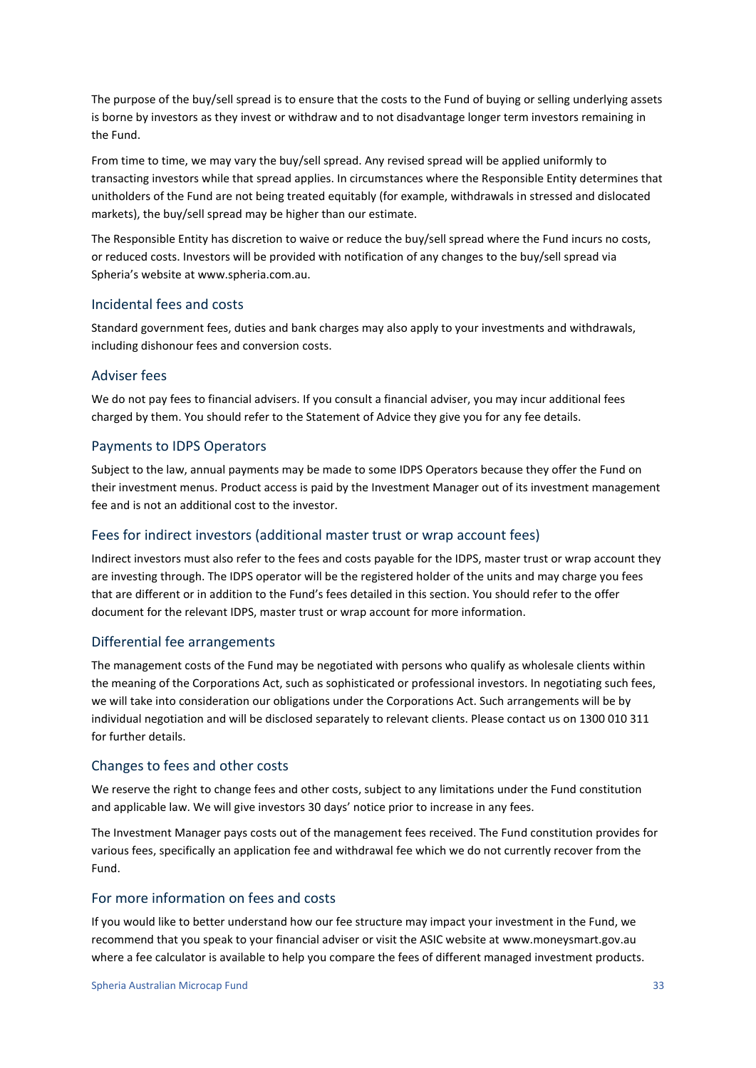The purpose of the buy/sell spread is to ensure that the costs to the Fund of buying or selling underlying assets is borne by investors as they invest or withdraw and to not disadvantage longer term investors remaining in the Fund.

From time to time, we may vary the buy/sell spread. Any revised spread will be applied uniformly to transacting investors while that spread applies. In circumstances where the Responsible Entity determines that unitholders of the Fund are not being treated equitably (for example, withdrawals in stressed and dislocated markets), the buy/sell spread may be higher than our estimate.

The Responsible Entity has discretion to waive or reduce the buy/sell spread where the Fund incurs no costs, or reduced costs. Investors will be provided with notification of any changes to the buy/sell spread via Spheria's website at www.spheria.com.au.

#### Incidental fees and costs

Standard government fees, duties and bank charges may also apply to your investments and withdrawals, including dishonour fees and conversion costs.

#### Adviser fees

We do not pay fees to financial advisers. If you consult a financial adviser, you may incur additional fees charged by them. You should refer to the Statement of Advice they give you for any fee details.

#### Payments to IDPS Operators

Subject to the law, annual payments may be made to some IDPS Operators because they offer the Fund on their investment menus. Product access is paid by the Investment Manager out of its investment management fee and is not an additional cost to the investor.

#### Fees for indirect investors (additional master trust or wrap account fees)

Indirect investors must also refer to the fees and costs payable for the IDPS, master trust or wrap account they are investing through. The IDPS operator will be the registered holder of the units and may charge you fees that are different or in addition to the Fund's fees detailed in this section. You should refer to the offer document for the relevant IDPS, master trust or wrap account for more information.

#### Differential fee arrangements

The management costs of the Fund may be negotiated with persons who qualify as wholesale clients within the meaning of the Corporations Act, such as sophisticated or professional investors. In negotiating such fees, we will take into consideration our obligations under the Corporations Act. Such arrangements will be by individual negotiation and will be disclosed separately to relevant clients. Please contact us on 1300 010 311 for further details.

#### Changes to fees and other costs

We reserve the right to change fees and other costs, subject to any limitations under the Fund constitution and applicable law. We will give investors 30 days' notice prior to increase in any fees.

The Investment Manager pays costs out of the management fees received. The Fund constitution provides for various fees, specifically an application fee and withdrawal fee which we do not currently recover from the Fund.

#### For more information on fees and costs

If you would like to better understand how our fee structure may impact your investment in the Fund, we recommend that you speak to your financial adviser or visit the ASIC website at www.moneysmart.gov.au where a fee calculator is available to help you compare the fees of different managed investment products.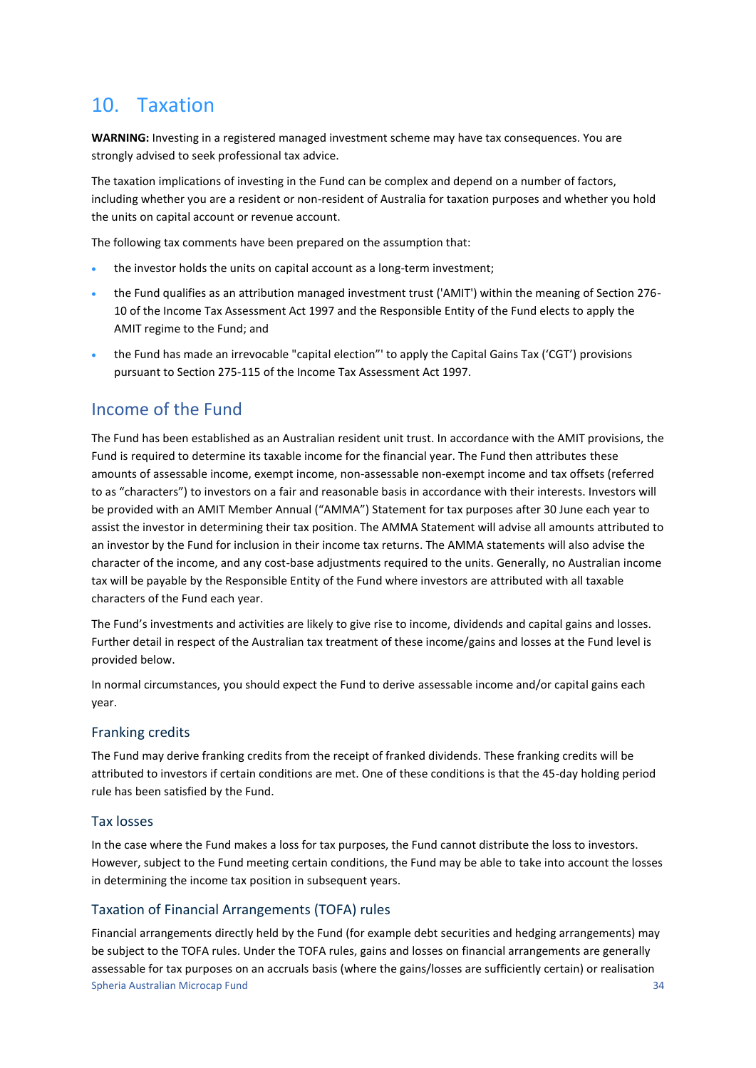## <span id="page-33-0"></span>10. Taxation

**WARNING:** Investing in a registered managed investment scheme may have tax consequences. You are strongly advised to seek professional tax advice.

The taxation implications of investing in the Fund can be complex and depend on a number of factors, including whether you are a resident or non-resident of Australia for taxation purposes and whether you hold the units on capital account or revenue account.

The following tax comments have been prepared on the assumption that:

- the investor holds the units on capital account as a long-term investment;
- the Fund qualifies as an attribution managed investment trust ('AMIT') within the meaning of Section 276- 10 of the Income Tax Assessment Act 1997 and the Responsible Entity of the Fund elects to apply the AMIT regime to the Fund; and
- the Fund has made an irrevocable "capital election"' to apply the Capital Gains Tax ('CGT') provisions pursuant to Section 275-115 of the Income Tax Assessment Act 1997.

### Income of the Fund

The Fund has been established as an Australian resident unit trust. In accordance with the AMIT provisions, the Fund is required to determine its taxable income for the financial year. The Fund then attributes these amounts of assessable income, exempt income, non-assessable non-exempt income and tax offsets (referred to as "characters") to investors on a fair and reasonable basis in accordance with their interests. Investors will be provided with an AMIT Member Annual ("AMMA") Statement for tax purposes after 30 June each year to assist the investor in determining their tax position. The AMMA Statement will advise all amounts attributed to an investor by the Fund for inclusion in their income tax returns. The AMMA statements will also advise the character of the income, and any cost-base adjustments required to the units. Generally, no Australian income tax will be payable by the Responsible Entity of the Fund where investors are attributed with all taxable characters of the Fund each year.

The Fund's investments and activities are likely to give rise to income, dividends and capital gains and losses. Further detail in respect of the Australian tax treatment of these income/gains and losses at the Fund level is provided below.

In normal circumstances, you should expect the Fund to derive assessable income and/or capital gains each year.

#### Franking credits

The Fund may derive franking credits from the receipt of franked dividends. These franking credits will be attributed to investors if certain conditions are met. One of these conditions is that the 45-day holding period rule has been satisfied by the Fund.

#### Tax losses

In the case where the Fund makes a loss for tax purposes, the Fund cannot distribute the loss to investors. However, subject to the Fund meeting certain conditions, the Fund may be able to take into account the losses in determining the income tax position in subsequent years.

#### Taxation of Financial Arrangements (TOFA) rules

Spheria Australian Microcap Fund 34 Financial arrangements directly held by the Fund (for example debt securities and hedging arrangements) may be subject to the TOFA rules. Under the TOFA rules, gains and losses on financial arrangements are generally assessable for tax purposes on an accruals basis (where the gains/losses are sufficiently certain) or realisation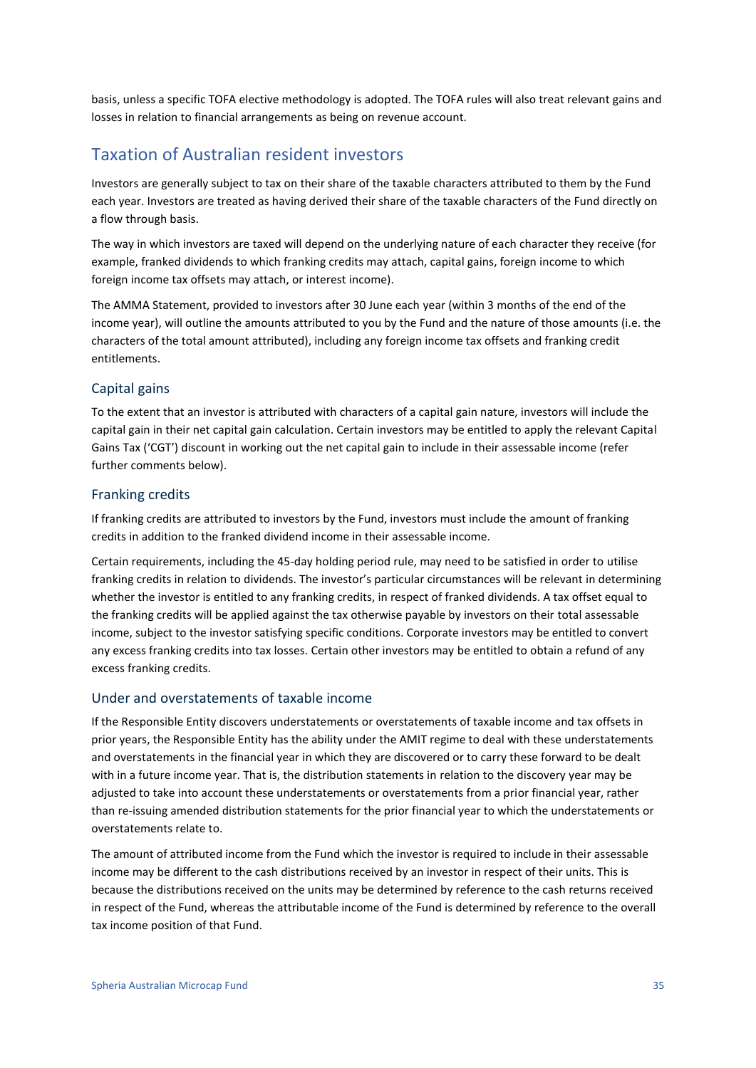basis, unless a specific TOFA elective methodology is adopted. The TOFA rules will also treat relevant gains and losses in relation to financial arrangements as being on revenue account.

### Taxation of Australian resident investors

Investors are generally subject to tax on their share of the taxable characters attributed to them by the Fund each year. Investors are treated as having derived their share of the taxable characters of the Fund directly on a flow through basis.

The way in which investors are taxed will depend on the underlying nature of each character they receive (for example, franked dividends to which franking credits may attach, capital gains, foreign income to which foreign income tax offsets may attach, or interest income).

The AMMA Statement, provided to investors after 30 June each year (within 3 months of the end of the income year), will outline the amounts attributed to you by the Fund and the nature of those amounts (i.e. the characters of the total amount attributed), including any foreign income tax offsets and franking credit entitlements.

#### Capital gains

To the extent that an investor is attributed with characters of a capital gain nature, investors will include the capital gain in their net capital gain calculation. Certain investors may be entitled to apply the relevant Capital Gains Tax ('CGT') discount in working out the net capital gain to include in their assessable income (refer further comments below).

#### Franking credits

If franking credits are attributed to investors by the Fund, investors must include the amount of franking credits in addition to the franked dividend income in their assessable income.

Certain requirements, including the 45-day holding period rule, may need to be satisfied in order to utilise franking credits in relation to dividends. The investor's particular circumstances will be relevant in determining whether the investor is entitled to any franking credits, in respect of franked dividends. A tax offset equal to the franking credits will be applied against the tax otherwise payable by investors on their total assessable income, subject to the investor satisfying specific conditions. Corporate investors may be entitled to convert any excess franking credits into tax losses. Certain other investors may be entitled to obtain a refund of any excess franking credits.

#### Under and overstatements of taxable income

If the Responsible Entity discovers understatements or overstatements of taxable income and tax offsets in prior years, the Responsible Entity has the ability under the AMIT regime to deal with these understatements and overstatements in the financial year in which they are discovered or to carry these forward to be dealt with in a future income year. That is, the distribution statements in relation to the discovery year may be adjusted to take into account these understatements or overstatements from a prior financial year, rather than re-issuing amended distribution statements for the prior financial year to which the understatements or overstatements relate to.

The amount of attributed income from the Fund which the investor is required to include in their assessable income may be different to the cash distributions received by an investor in respect of their units. This is because the distributions received on the units may be determined by reference to the cash returns received in respect of the Fund, whereas the attributable income of the Fund is determined by reference to the overall tax income position of that Fund.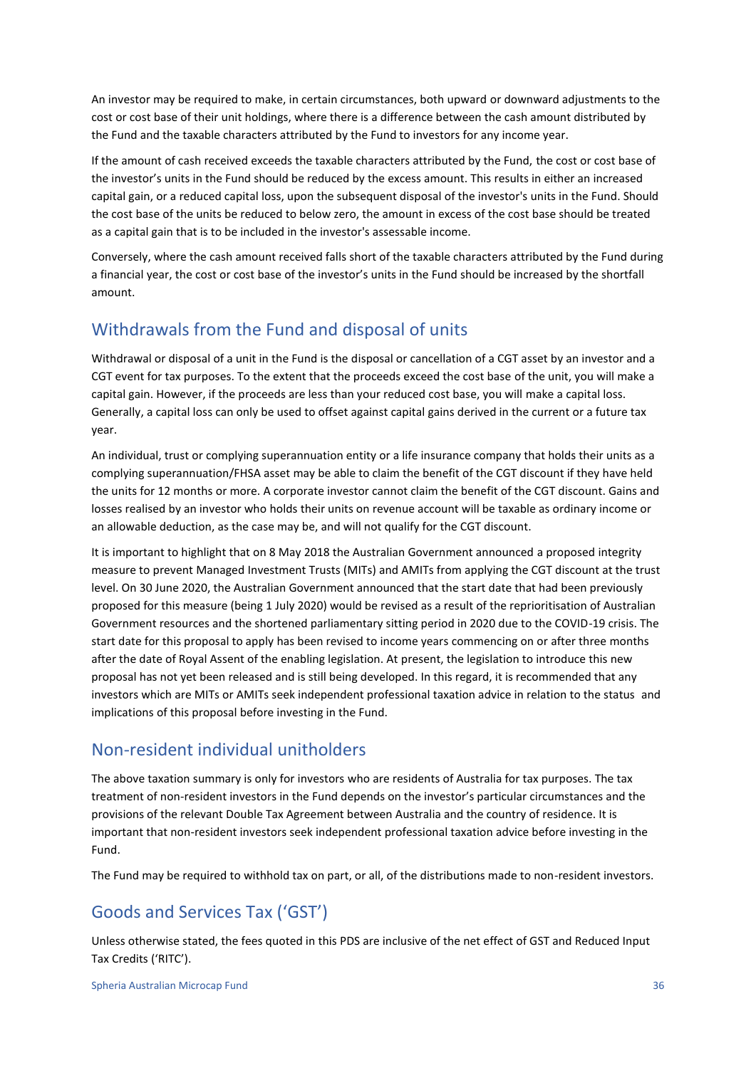An investor may be required to make, in certain circumstances, both upward or downward adjustments to the cost or cost base of their unit holdings, where there is a difference between the cash amount distributed by the Fund and the taxable characters attributed by the Fund to investors for any income year.

If the amount of cash received exceeds the taxable characters attributed by the Fund, the cost or cost base of the investor's units in the Fund should be reduced by the excess amount. This results in either an increased capital gain, or a reduced capital loss, upon the subsequent disposal of the investor's units in the Fund. Should the cost base of the units be reduced to below zero, the amount in excess of the cost base should be treated as a capital gain that is to be included in the investor's assessable income.

Conversely, where the cash amount received falls short of the taxable characters attributed by the Fund during a financial year, the cost or cost base of the investor's units in the Fund should be increased by the shortfall amount.

### Withdrawals from the Fund and disposal of units

Withdrawal or disposal of a unit in the Fund is the disposal or cancellation of a CGT asset by an investor and a CGT event for tax purposes. To the extent that the proceeds exceed the cost base of the unit, you will make a capital gain. However, if the proceeds are less than your reduced cost base, you will make a capital loss. Generally, a capital loss can only be used to offset against capital gains derived in the current or a future tax year.

An individual, trust or complying superannuation entity or a life insurance company that holds their units as a complying superannuation/FHSA asset may be able to claim the benefit of the CGT discount if they have held the units for 12 months or more. A corporate investor cannot claim the benefit of the CGT discount. Gains and losses realised by an investor who holds their units on revenue account will be taxable as ordinary income or an allowable deduction, as the case may be, and will not qualify for the CGT discount.

It is important to highlight that on 8 May 2018 the Australian Government announced a proposed integrity measure to prevent Managed Investment Trusts (MITs) and AMITs from applying the CGT discount at the trust level. On 30 June 2020, the Australian Government announced that the start date that had been previously proposed for this measure (being 1 July 2020) would be revised as a result of the reprioritisation of Australian Government resources and the shortened parliamentary sitting period in 2020 due to the COVID-19 crisis. The start date for this proposal to apply has been revised to income years commencing on or after three months after the date of Royal Assent of the enabling legislation. At present, the legislation to introduce this new proposal has not yet been released and is still being developed. In this regard, it is recommended that any investors which are MITs or AMITs seek independent professional taxation advice in relation to the status and implications of this proposal before investing in the Fund.

### Non-resident individual unitholders

The above taxation summary is only for investors who are residents of Australia for tax purposes. The tax treatment of non-resident investors in the Fund depends on the investor's particular circumstances and the provisions of the relevant Double Tax Agreement between Australia and the country of residence. It is important that non-resident investors seek independent professional taxation advice before investing in the Fund.

The Fund may be required to withhold tax on part, or all, of the distributions made to non-resident investors.

### Goods and Services Tax ('GST')

Unless otherwise stated, the fees quoted in this PDS are inclusive of the net effect of GST and Reduced Input Tax Credits ('RITC').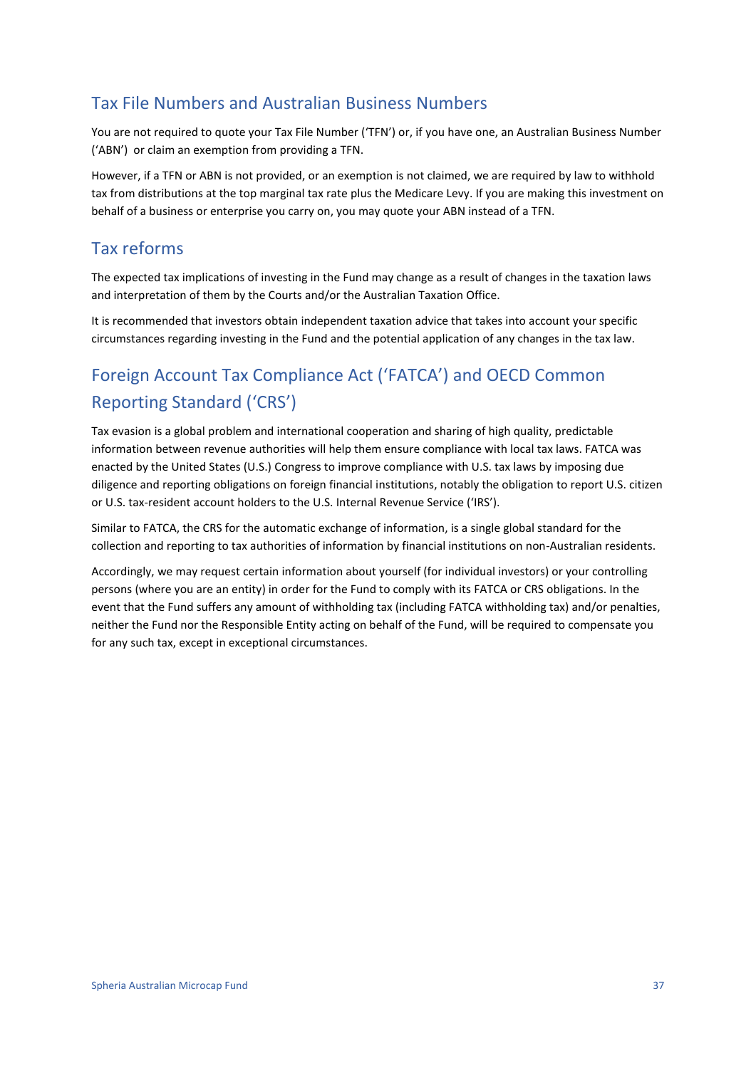### Tax File Numbers and Australian Business Numbers

You are not required to quote your Tax File Number ('TFN') or, if you have one, an Australian Business Number ('ABN') or claim an exemption from providing a TFN.

However, if a TFN or ABN is not provided, or an exemption is not claimed, we are required by law to withhold tax from distributions at the top marginal tax rate plus the Medicare Levy. If you are making this investment on behalf of a business or enterprise you carry on, you may quote your ABN instead of a TFN.

### Tax reforms

The expected tax implications of investing in the Fund may change as a result of changes in the taxation laws and interpretation of them by the Courts and/or the Australian Taxation Office.

It is recommended that investors obtain independent taxation advice that takes into account your specific circumstances regarding investing in the Fund and the potential application of any changes in the tax law.

## Foreign Account Tax Compliance Act ('FATCA') and OECD Common Reporting Standard ('CRS')

Tax evasion is a global problem and international cooperation and sharing of high quality, predictable information between revenue authorities will help them ensure compliance with local tax laws. FATCA was enacted by the United States (U.S.) Congress to improve compliance with U.S. tax laws by imposing due diligence and reporting obligations on foreign financial institutions, notably the obligation to report U.S. citizen or U.S. tax-resident account holders to the U.S. Internal Revenue Service ('IRS').

Similar to FATCA, the CRS for the automatic exchange of information, is a single global standard for the collection and reporting to tax authorities of information by financial institutions on non-Australian residents.

Accordingly, we may request certain information about yourself (for individual investors) or your controlling persons (where you are an entity) in order for the Fund to comply with its FATCA or CRS obligations. In the event that the Fund suffers any amount of withholding tax (including FATCA withholding tax) and/or penalties, neither the Fund nor the Responsible Entity acting on behalf of the Fund, will be required to compensate you for any such tax, except in exceptional circumstances.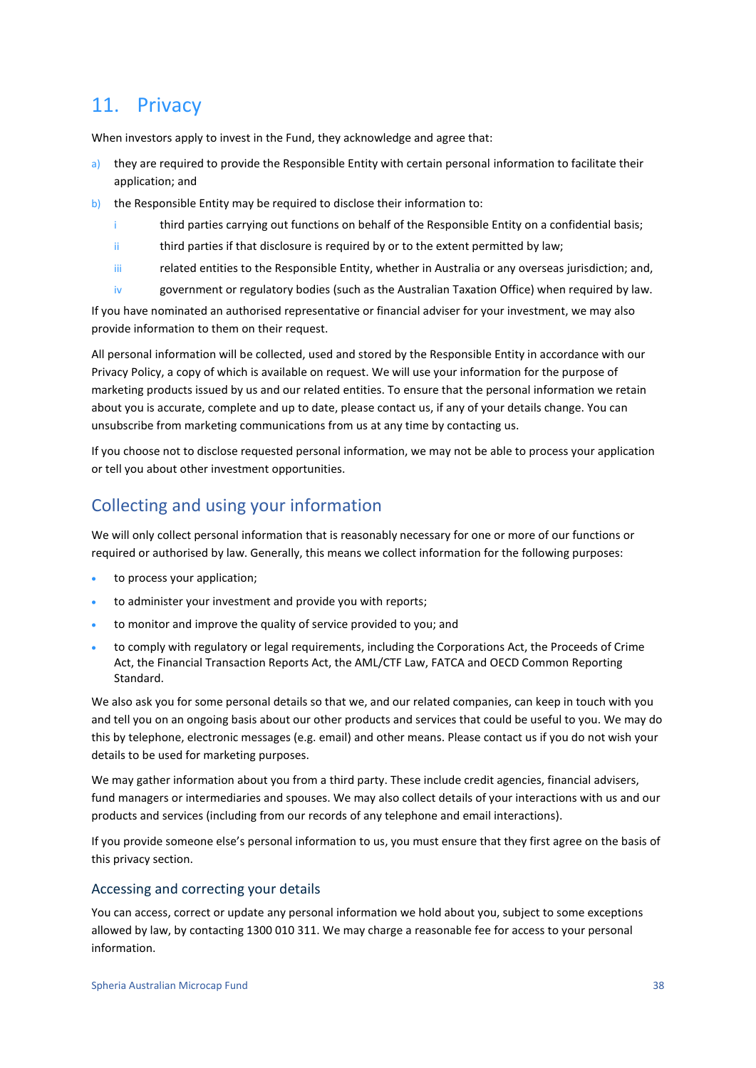### <span id="page-37-0"></span>11. Privacy

When investors apply to invest in the Fund, they acknowledge and agree that:

- a) they are required to provide the Responsible Entity with certain personal information to facilitate their application; and
- b) the Responsible Entity may be required to disclose their information to:
	- i third parties carrying out functions on behalf of the Responsible Entity on a confidential basis;
	- ii third parties if that disclosure is required by or to the extent permitted by law;
	- iii related entities to the Responsible Entity, whether in Australia or any overseas jurisdiction; and,
	- iv government or regulatory bodies (such as the Australian Taxation Office) when required by law.

If you have nominated an authorised representative or financial adviser for your investment, we may also provide information to them on their request.

All personal information will be collected, used and stored by the Responsible Entity in accordance with our Privacy Policy, a copy of which is available on request. We will use your information for the purpose of marketing products issued by us and our related entities. To ensure that the personal information we retain about you is accurate, complete and up to date, please contact us, if any of your details change. You can unsubscribe from marketing communications from us at any time by contacting us.

If you choose not to disclose requested personal information, we may not be able to process your application or tell you about other investment opportunities.

### Collecting and using your information

We will only collect personal information that is reasonably necessary for one or more of our functions or required or authorised by law. Generally, this means we collect information for the following purposes:

- to process your application:
- to administer your investment and provide you with reports;
- to monitor and improve the quality of service provided to you; and
- to comply with regulatory or legal requirements, including the Corporations Act, the Proceeds of Crime Act, the Financial Transaction Reports Act, the AML/CTF Law, FATCA and OECD Common Reporting Standard.

We also ask you for some personal details so that we, and our related companies, can keep in touch with you and tell you on an ongoing basis about our other products and services that could be useful to you. We may do this by telephone, electronic messages (e.g. email) and other means. Please contact us if you do not wish your details to be used for marketing purposes.

We may gather information about you from a third party. These include credit agencies, financial advisers, fund managers or intermediaries and spouses. We may also collect details of your interactions with us and our products and services (including from our records of any telephone and email interactions).

If you provide someone else's personal information to us, you must ensure that they first agree on the basis of this privacy section.

#### Accessing and correcting your details

You can access, correct or update any personal information we hold about you, subject to some exceptions allowed by law, by contacting 1300 010 311. We may charge a reasonable fee for access to your personal information.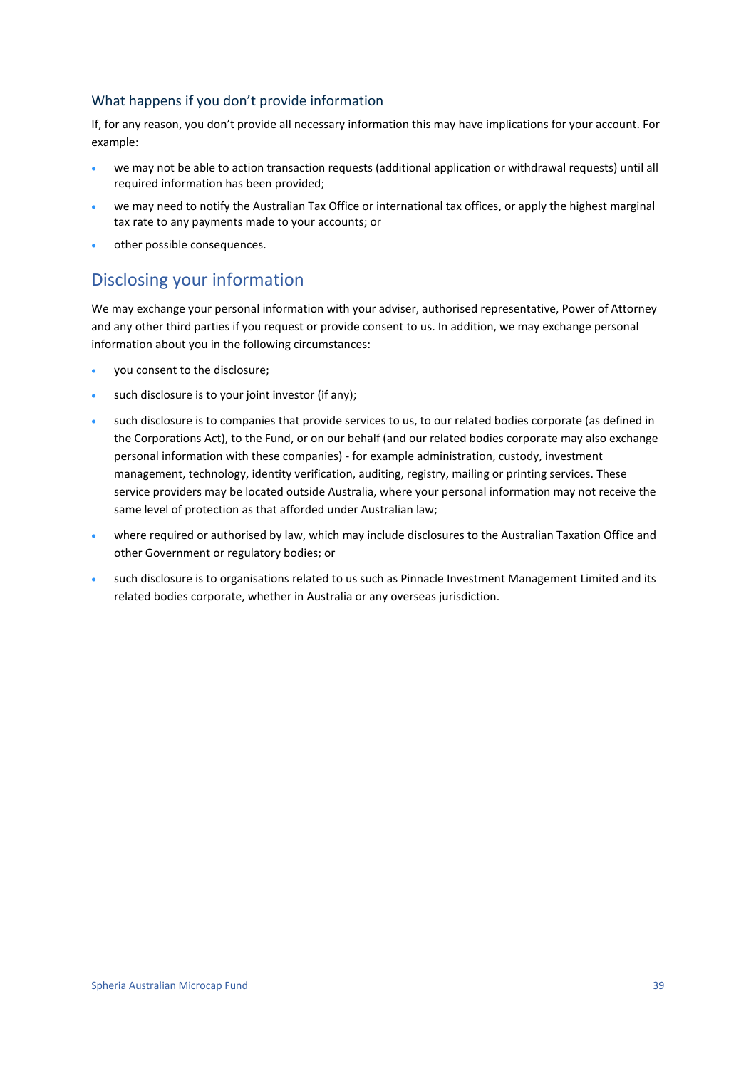#### What happens if you don't provide information

If, for any reason, you don't provide all necessary information this may have implications for your account. For example:

- we may not be able to action transaction requests (additional application or withdrawal requests) until all required information has been provided;
- we may need to notify the Australian Tax Office or international tax offices, or apply the highest marginal tax rate to any payments made to your accounts; or
- other possible consequences.

### Disclosing your information

We may exchange your personal information with your adviser, authorised representative, Power of Attorney and any other third parties if you request or provide consent to us. In addition, we may exchange personal information about you in the following circumstances:

- you consent to the disclosure;
- such disclosure is to your joint investor (if any);
- such disclosure is to companies that provide services to us, to our related bodies corporate (as defined in the Corporations Act), to the Fund, or on our behalf (and our related bodies corporate may also exchange personal information with these companies) - for example administration, custody, investment management, technology, identity verification, auditing, registry, mailing or printing services. These service providers may be located outside Australia, where your personal information may not receive the same level of protection as that afforded under Australian law;
- where required or authorised by law, which may include disclosures to the Australian Taxation Office and other Government or regulatory bodies; or
- such disclosure is to organisations related to us such as Pinnacle Investment Management Limited and its related bodies corporate, whether in Australia or any overseas jurisdiction.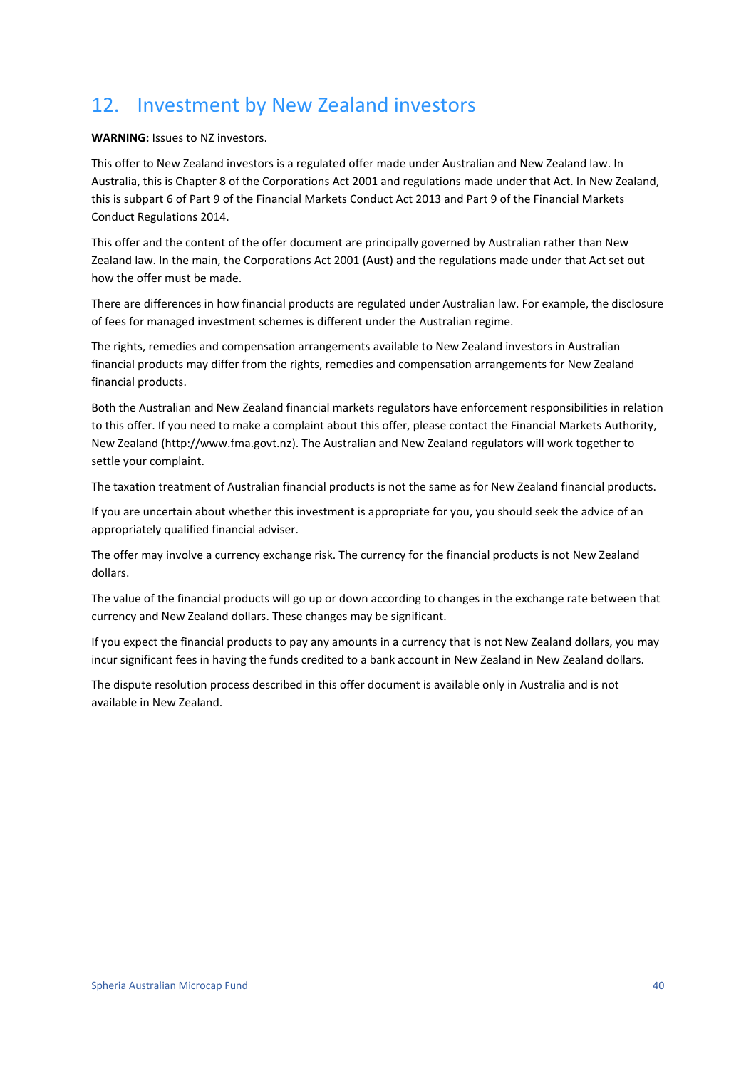## <span id="page-39-0"></span>12. Investment by New Zealand investors

**WARNING:** Issues to NZ investors.

This offer to New Zealand investors is a regulated offer made under Australian and New Zealand law. In Australia, this is Chapter 8 of the Corporations Act 2001 and regulations made under that Act. In New Zealand, this is subpart 6 of Part 9 of the Financial Markets Conduct Act 2013 and Part 9 of the Financial Markets Conduct Regulations 2014.

This offer and the content of the offer document are principally governed by Australian rather than New Zealand law. In the main, the Corporations Act 2001 (Aust) and the regulations made under that Act set out how the offer must be made.

There are differences in how financial products are regulated under Australian law. For example, the disclosure of fees for managed investment schemes is different under the Australian regime.

The rights, remedies and compensation arrangements available to New Zealand investors in Australian financial products may differ from the rights, remedies and compensation arrangements for New Zealand financial products.

Both the Australian and New Zealand financial markets regulators have enforcement responsibilities in relation to this offer. If you need to make a complaint about this offer, please contact the Financial Markets Authority, New Zealand (http://www.fma.govt.nz). The Australian and New Zealand regulators will work together to settle your complaint.

The taxation treatment of Australian financial products is not the same as for New Zealand financial products.

If you are uncertain about whether this investment is appropriate for you, you should seek the advice of an appropriately qualified financial adviser.

The offer may involve a currency exchange risk. The currency for the financial products is not New Zealand dollars.

The value of the financial products will go up or down according to changes in the exchange rate between that currency and New Zealand dollars. These changes may be significant.

If you expect the financial products to pay any amounts in a currency that is not New Zealand dollars, you may incur significant fees in having the funds credited to a bank account in New Zealand in New Zealand dollars.

The dispute resolution process described in this offer document is available only in Australia and is not available in New Zealand.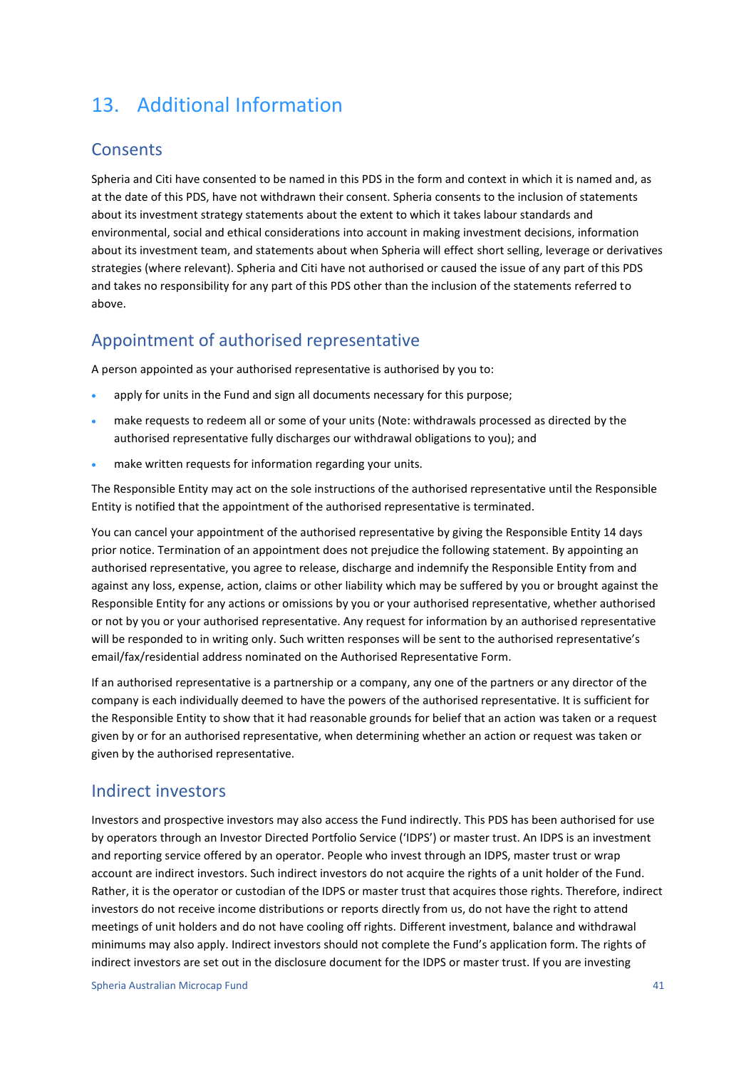## <span id="page-40-0"></span>13. Additional Information

### **Consents**

Spheria and Citi have consented to be named in this PDS in the form and context in which it is named and, as at the date of this PDS, have not withdrawn their consent. Spheria consents to the inclusion of statements about its investment strategy statements about the extent to which it takes labour standards and environmental, social and ethical considerations into account in making investment decisions, information about its investment team, and statements about when Spheria will effect short selling, leverage or derivatives strategies (where relevant). Spheria and Citi have not authorised or caused the issue of any part of this PDS and takes no responsibility for any part of this PDS other than the inclusion of the statements referred to above.

### Appointment of authorised representative

A person appointed as your authorised representative is authorised by you to:

- apply for units in the Fund and sign all documents necessary for this purpose;
- make requests to redeem all or some of your units (Note: withdrawals processed as directed by the authorised representative fully discharges our withdrawal obligations to you); and
- make written requests for information regarding your units.

The Responsible Entity may act on the sole instructions of the authorised representative until the Responsible Entity is notified that the appointment of the authorised representative is terminated.

You can cancel your appointment of the authorised representative by giving the Responsible Entity 14 days prior notice. Termination of an appointment does not prejudice the following statement. By appointing an authorised representative, you agree to release, discharge and indemnify the Responsible Entity from and against any loss, expense, action, claims or other liability which may be suffered by you or brought against the Responsible Entity for any actions or omissions by you or your authorised representative, whether authorised or not by you or your authorised representative. Any request for information by an authorised representative will be responded to in writing only. Such written responses will be sent to the authorised representative's email/fax/residential address nominated on the Authorised Representative Form.

If an authorised representative is a partnership or a company, any one of the partners or any director of the company is each individually deemed to have the powers of the authorised representative. It is sufficient for the Responsible Entity to show that it had reasonable grounds for belief that an action was taken or a request given by or for an authorised representative, when determining whether an action or request was taken or given by the authorised representative.

### Indirect investors

Investors and prospective investors may also access the Fund indirectly. This PDS has been authorised for use by operators through an Investor Directed Portfolio Service ('IDPS') or master trust. An IDPS is an investment and reporting service offered by an operator. People who invest through an IDPS, master trust or wrap account are indirect investors. Such indirect investors do not acquire the rights of a unit holder of the Fund. Rather, it is the operator or custodian of the IDPS or master trust that acquires those rights. Therefore, indirect investors do not receive income distributions or reports directly from us, do not have the right to attend meetings of unit holders and do not have cooling off rights. Different investment, balance and withdrawal minimums may also apply. Indirect investors should not complete the Fund's application form. The rights of indirect investors are set out in the disclosure document for the IDPS or master trust. If you are investing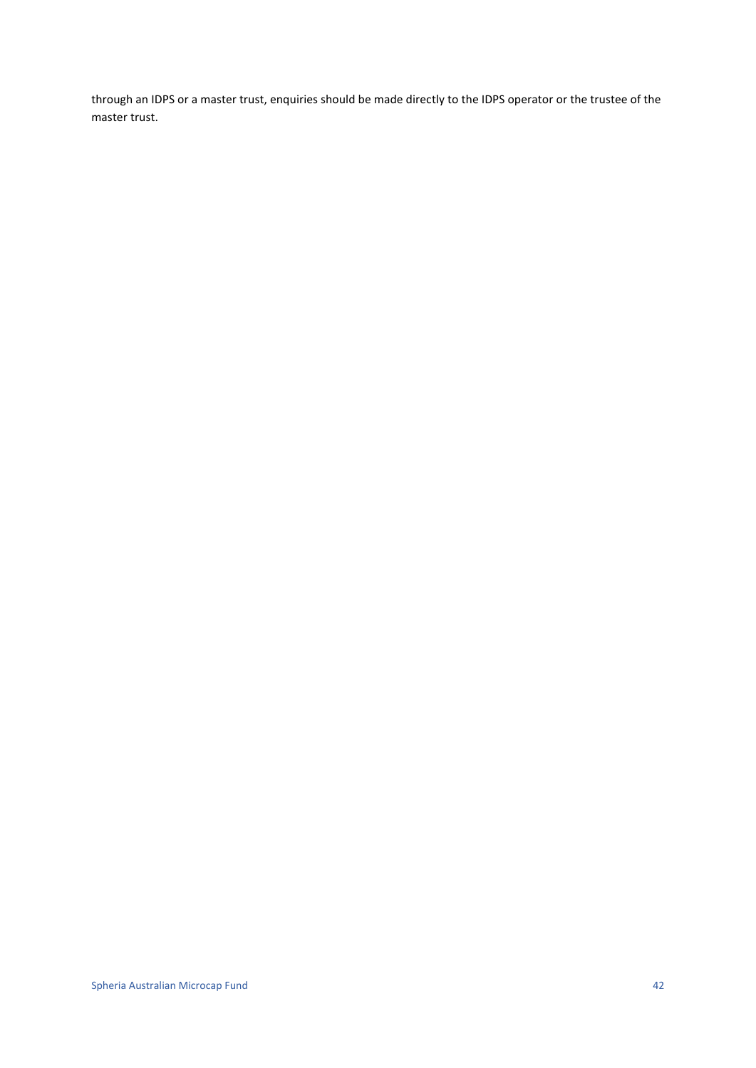through an IDPS or a master trust, enquiries should be made directly to the IDPS operator or the trustee of the master trust.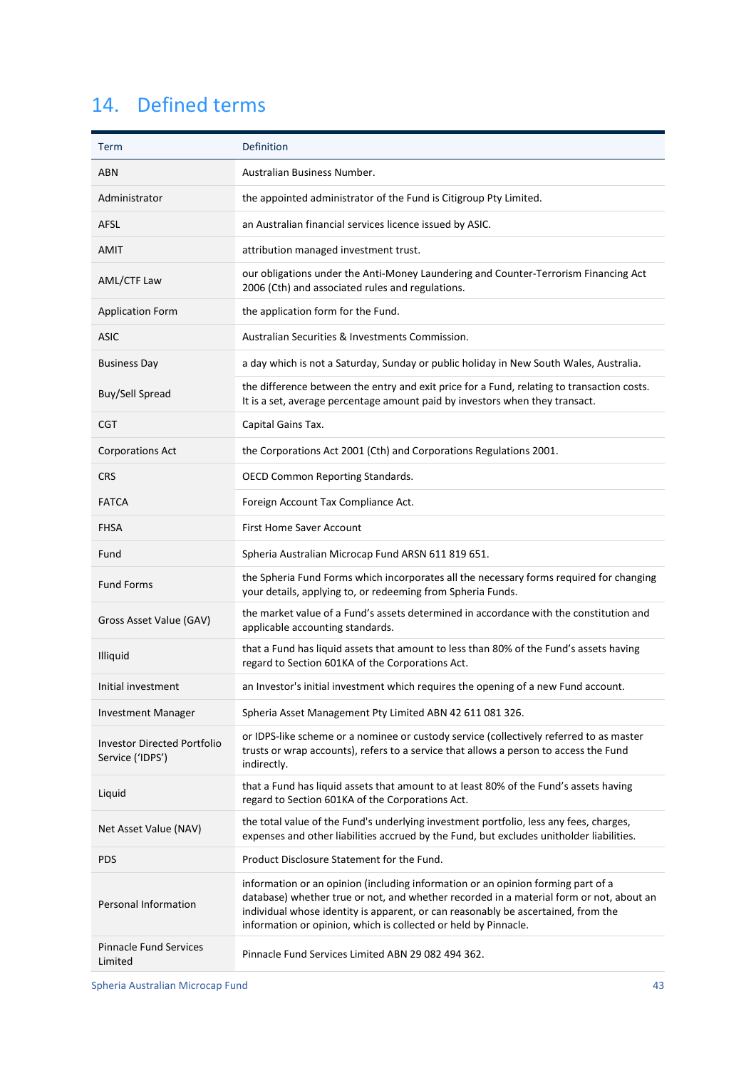## <span id="page-42-0"></span>14. Defined terms

| Term                                                   | Definition                                                                                                                                                                                                                                                                                                                          |
|--------------------------------------------------------|-------------------------------------------------------------------------------------------------------------------------------------------------------------------------------------------------------------------------------------------------------------------------------------------------------------------------------------|
| <b>ABN</b>                                             | Australian Business Number.                                                                                                                                                                                                                                                                                                         |
| Administrator                                          | the appointed administrator of the Fund is Citigroup Pty Limited.                                                                                                                                                                                                                                                                   |
| <b>AFSL</b>                                            | an Australian financial services licence issued by ASIC.                                                                                                                                                                                                                                                                            |
| <b>AMIT</b>                                            | attribution managed investment trust.                                                                                                                                                                                                                                                                                               |
| <b>AML/CTF Law</b>                                     | our obligations under the Anti-Money Laundering and Counter-Terrorism Financing Act<br>2006 (Cth) and associated rules and regulations.                                                                                                                                                                                             |
| <b>Application Form</b>                                | the application form for the Fund.                                                                                                                                                                                                                                                                                                  |
| <b>ASIC</b>                                            | Australian Securities & Investments Commission.                                                                                                                                                                                                                                                                                     |
| <b>Business Day</b>                                    | a day which is not a Saturday, Sunday or public holiday in New South Wales, Australia.                                                                                                                                                                                                                                              |
| Buy/Sell Spread                                        | the difference between the entry and exit price for a Fund, relating to transaction costs.<br>It is a set, average percentage amount paid by investors when they transact.                                                                                                                                                          |
| CGT                                                    | Capital Gains Tax.                                                                                                                                                                                                                                                                                                                  |
| <b>Corporations Act</b>                                | the Corporations Act 2001 (Cth) and Corporations Regulations 2001.                                                                                                                                                                                                                                                                  |
| <b>CRS</b>                                             | <b>OECD Common Reporting Standards.</b>                                                                                                                                                                                                                                                                                             |
| <b>FATCA</b>                                           | Foreign Account Tax Compliance Act.                                                                                                                                                                                                                                                                                                 |
| <b>FHSA</b>                                            | First Home Saver Account                                                                                                                                                                                                                                                                                                            |
| Fund                                                   | Spheria Australian Microcap Fund ARSN 611 819 651.                                                                                                                                                                                                                                                                                  |
| <b>Fund Forms</b>                                      | the Spheria Fund Forms which incorporates all the necessary forms required for changing<br>your details, applying to, or redeeming from Spheria Funds.                                                                                                                                                                              |
| Gross Asset Value (GAV)                                | the market value of a Fund's assets determined in accordance with the constitution and<br>applicable accounting standards.                                                                                                                                                                                                          |
| Illiquid                                               | that a Fund has liquid assets that amount to less than 80% of the Fund's assets having<br>regard to Section 601KA of the Corporations Act.                                                                                                                                                                                          |
| Initial investment                                     | an Investor's initial investment which requires the opening of a new Fund account.                                                                                                                                                                                                                                                  |
| <b>Investment Manager</b>                              | Spheria Asset Management Pty Limited ABN 42 611 081 326.                                                                                                                                                                                                                                                                            |
| <b>Investor Directed Portfolio</b><br>Service ('IDPS') | or IDPS-like scheme or a nominee or custody service (collectively referred to as master<br>trusts or wrap accounts), refers to a service that allows a person to access the Fund<br>indirectly.                                                                                                                                     |
| Liquid                                                 | that a Fund has liquid assets that amount to at least 80% of the Fund's assets having<br>regard to Section 601KA of the Corporations Act.                                                                                                                                                                                           |
| Net Asset Value (NAV)                                  | the total value of the Fund's underlying investment portfolio, less any fees, charges,<br>expenses and other liabilities accrued by the Fund, but excludes unitholder liabilities.                                                                                                                                                  |
| PDS                                                    | Product Disclosure Statement for the Fund.                                                                                                                                                                                                                                                                                          |
| <b>Personal Information</b>                            | information or an opinion (including information or an opinion forming part of a<br>database) whether true or not, and whether recorded in a material form or not, about an<br>individual whose identity is apparent, or can reasonably be ascertained, from the<br>information or opinion, which is collected or held by Pinnacle. |
| <b>Pinnacle Fund Services</b><br>Limited               | Pinnacle Fund Services Limited ABN 29 082 494 362.                                                                                                                                                                                                                                                                                  |